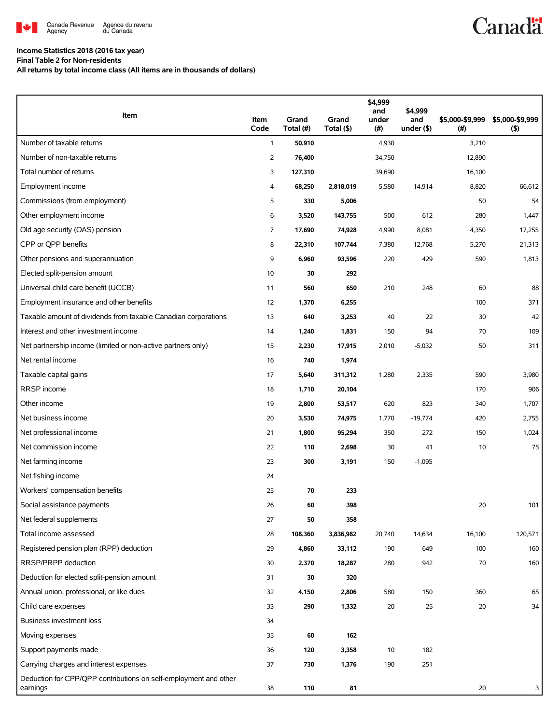

## **Income Statistics 2018 (2016 tax year)**

**Final Table 2 for Non-residents**

**All returns by total income class (All items are in thousands of dollars)**

| Item                                                                         | Item<br>Code   | Grand<br>Total (#) | Grand<br>Total (\$) | \$4,999<br>and<br>under<br>(#) | \$4,999<br>and<br>under $($ \$) | \$5,000-\$9,999<br>(#) | \$5,000-\$9,999<br>$($ \$) |
|------------------------------------------------------------------------------|----------------|--------------------|---------------------|--------------------------------|---------------------------------|------------------------|----------------------------|
| Number of taxable returns                                                    | $\mathbf{1}$   | 50,910             |                     | 4,930                          |                                 | 3,210                  |                            |
| Number of non-taxable returns                                                | $\overline{2}$ | 76,400             |                     | 34,750                         |                                 | 12,890                 |                            |
| Total number of returns                                                      | 3              | 127,310            |                     | 39,690                         |                                 | 16,100                 |                            |
| Employment income                                                            | 4              | 68,250             | 2,818,019           | 5,580                          | 14,914                          | 8,820                  | 66,612                     |
| Commissions (from employment)                                                | 5              | 330                | 5,006               |                                |                                 | 50                     | 54                         |
| Other employment income                                                      | 6              | 3,520              | 143,755             | 500                            | 612                             | 280                    | 1,447                      |
| Old age security (OAS) pension                                               | 7              | 17,690             | 74,928              | 4,990                          | 8,081                           | 4,350                  | 17,255                     |
| CPP or QPP benefits                                                          | 8              | 22,310             | 107,744             | 7,380                          | 12,768                          | 5,270                  | 21,313                     |
| Other pensions and superannuation                                            | 9              | 6,960              | 93,596              | 220                            | 429                             | 590                    | 1,813                      |
| Elected split-pension amount                                                 | 10             | 30                 | 292                 |                                |                                 |                        |                            |
| Universal child care benefit (UCCB)                                          | 11             | 560                | 650                 | 210                            | 248                             | 60                     | 88                         |
| Employment insurance and other benefits                                      | 12             | 1,370              | 6,255               |                                |                                 | 100                    | 371                        |
| Taxable amount of dividends from taxable Canadian corporations               | 13             | 640                | 3,253               | 40                             | 22                              | 30                     | 42                         |
| Interest and other investment income                                         | 14             | 1,240              | 1,831               | 150                            | 94                              | 70                     | 109                        |
| Net partnership income (limited or non-active partners only)                 | 15             | 2,230              | 17,915              | 2,010                          | $-5,032$                        | 50                     | 311                        |
| Net rental income                                                            | 16             | 740                | 1,974               |                                |                                 |                        |                            |
| Taxable capital gains                                                        | 17             | 5,640              | 311,312             | 1,280                          | 2,335                           | 590                    | 3,980                      |
| RRSP income                                                                  | 18             | 1,710              | 20,104              |                                |                                 | 170                    | 906                        |
| Other income                                                                 | 19             | 2,800              | 53,517              | 620                            | 823                             | 340                    | 1,707                      |
| Net business income                                                          | 20             | 3,530              | 74,975              | 1,770                          | $-19,774$                       | 420                    | 2,755                      |
| Net professional income                                                      | 21             | 1,800              | 95,294              | 350                            | 272                             | 150                    | 1,024                      |
| Net commission income                                                        | 22             | 110                | 2,698               | 30                             | 41                              | 10                     | 75                         |
| Net farming income                                                           | 23             | 300                | 3,191               | 150                            | $-1,095$                        |                        |                            |
| Net fishing income                                                           | 24             |                    |                     |                                |                                 |                        |                            |
| Workers' compensation benefits                                               | 25             | 70                 | 233                 |                                |                                 |                        |                            |
| Social assistance payments                                                   | $26\,$         | 60                 | 398                 |                                |                                 | 20                     | 101                        |
| Net federal supplements                                                      | 27             | 50                 | 358                 |                                |                                 |                        |                            |
| Total income assessed                                                        | 28             | 108,360            | 3,836,982           | 20,740                         | 14,634                          | 16,100                 | 120,571                    |
| Registered pension plan (RPP) deduction                                      | 29             | 4,860              | 33,112              | 190                            | 649                             | 100                    | 160                        |
| RRSP/PRPP deduction                                                          | 30             | 2,370              | 18,287              | 280                            | 942                             | 70                     | 160                        |
| Deduction for elected split-pension amount                                   | 31             | 30                 | 320                 |                                |                                 |                        |                            |
| Annual union, professional, or like dues                                     | 32             | 4,150              | 2,806               | 580                            | 150                             | 360                    | 65                         |
| Child care expenses                                                          | 33             | 290                | 1,332               | 20                             | 25                              | 20                     | 34                         |
| Business investment loss                                                     | 34             |                    |                     |                                |                                 |                        |                            |
| Moving expenses                                                              | 35             | 60                 | 162                 |                                |                                 |                        |                            |
| Support payments made                                                        | 36             | 120                | 3,358               | 10                             | 182                             |                        |                            |
| Carrying charges and interest expenses                                       | 37             | 730                | 1,376               | 190                            | 251                             |                        |                            |
| Deduction for CPP/QPP contributions on self-employment and other<br>earnings | 38             | 110                | 81                  |                                |                                 | 20                     | 3                          |

**Canadä**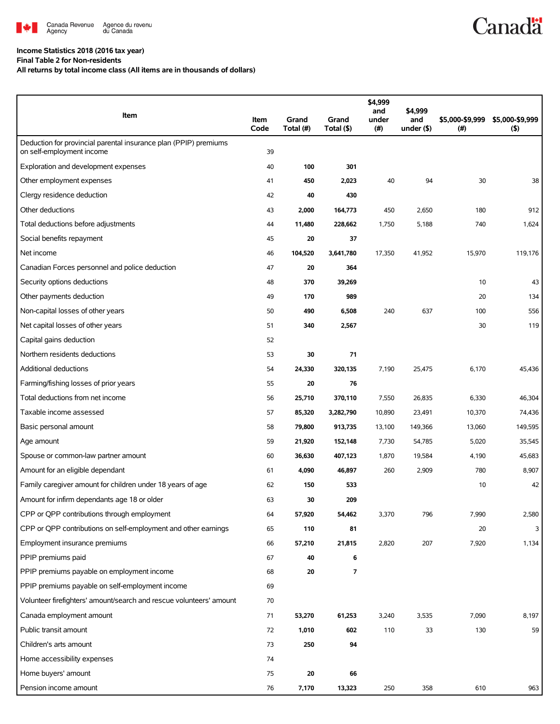

## **Income Statistics 2018 (2016 tax year)**

**Final Table 2 for Non-residents**

**All returns by total income class (All items are in thousands of dollars)**

| Item                                                                                          | Item<br>Code | Grand<br>Total (#) | Grand<br>Total (\$)      | \$4,999<br>and<br>under<br>(#) | \$4,999<br>and<br>under $($ \$) | \$5,000-\$9,999<br>(#) | \$5,000-\$9,999<br>(5) |
|-----------------------------------------------------------------------------------------------|--------------|--------------------|--------------------------|--------------------------------|---------------------------------|------------------------|------------------------|
| Deduction for provincial parental insurance plan (PPIP) premiums<br>on self-employment income | 39           |                    |                          |                                |                                 |                        |                        |
| Exploration and development expenses                                                          | 40           | 100                | 301                      |                                |                                 |                        |                        |
| Other employment expenses                                                                     | 41           | 450                | 2,023                    | 40                             | 94                              | 30                     | 38                     |
| Clergy residence deduction                                                                    | 42           | 40                 | 430                      |                                |                                 |                        |                        |
| Other deductions                                                                              | 43           | 2,000              | 164,773                  | 450                            | 2,650                           | 180                    | 912                    |
| Total deductions before adjustments                                                           | 44           | 11,480             | 228,662                  | 1,750                          | 5,188                           | 740                    | 1,624                  |
| Social benefits repayment                                                                     | 45           | 20                 | 37                       |                                |                                 |                        |                        |
| Net income                                                                                    | 46           | 104,520            | 3,641,780                | 17,350                         | 41,952                          | 15,970                 | 119,176                |
| Canadian Forces personnel and police deduction                                                | 47           | 20                 | 364                      |                                |                                 |                        |                        |
| Security options deductions                                                                   | 48           | 370                | 39,269                   |                                |                                 | 10                     | 43                     |
| Other payments deduction                                                                      | 49           | 170                | 989                      |                                |                                 | 20                     | 134                    |
| Non-capital losses of other years                                                             | 50           | 490                | 6,508                    | 240                            | 637                             | 100                    | 556                    |
| Net capital losses of other years                                                             | 51           | 340                | 2,567                    |                                |                                 | 30                     | 119                    |
| Capital gains deduction                                                                       | 52           |                    |                          |                                |                                 |                        |                        |
| Northern residents deductions                                                                 | 53           | 30                 | 71                       |                                |                                 |                        |                        |
| <b>Additional deductions</b>                                                                  | 54           | 24,330             | 320,135                  | 7,190                          | 25,475                          | 6,170                  | 45,436                 |
| Farming/fishing losses of prior years                                                         | 55           | 20                 | 76                       |                                |                                 |                        |                        |
| Total deductions from net income                                                              | 56           | 25,710             | 370,110                  | 7,550                          | 26,835                          | 6,330                  | 46,304                 |
| Taxable income assessed                                                                       | 57           | 85,320             | 3,282,790                | 10,890                         | 23,491                          | 10,370                 | 74,436                 |
| Basic personal amount                                                                         | 58           | 79,800             | 913,735                  | 13,100                         | 149,366                         | 13,060                 | 149,595                |
| Age amount                                                                                    | 59           | 21,920             | 152,148                  | 7,730                          | 54,785                          | 5,020                  | 35,545                 |
| Spouse or common-law partner amount                                                           | 60           | 36,630             | 407,123                  | 1,870                          | 19,584                          | 4,190                  | 45,683                 |
| Amount for an eligible dependant                                                              | 61           | 4,090              | 46,897                   | 260                            | 2,909                           | 780                    | 8,907                  |
| Family caregiver amount for children under 18 years of age                                    | 62           | 150                | 533                      |                                |                                 | 10                     | 42                     |
| Amount for infirm dependants age 18 or older                                                  | 63           | 30                 | 209                      |                                |                                 |                        |                        |
| CPP or QPP contributions through employment                                                   | 64           | 57,920             | 54,462                   | 3,370                          | 796                             | 7,990                  | 2,580                  |
| CPP or QPP contributions on self-employment and other earnings                                | 65           | 110                | 81                       |                                |                                 | 20                     | 3                      |
| Employment insurance premiums                                                                 | 66           | 57,210             | 21,815                   | 2,820                          | 207                             | 7,920                  | 1,134                  |
| PPIP premiums paid                                                                            | 67           | 40                 | 6                        |                                |                                 |                        |                        |
| PPIP premiums payable on employment income                                                    | 68           | 20                 | $\overline{\phantom{a}}$ |                                |                                 |                        |                        |
| PPIP premiums payable on self-employment income                                               | 69           |                    |                          |                                |                                 |                        |                        |
| Volunteer firefighters' amount/search and rescue volunteers' amount                           | 70           |                    |                          |                                |                                 |                        |                        |
| Canada employment amount                                                                      | 71           | 53,270             | 61,253                   | 3,240                          | 3,535                           | 7,090                  | 8,197                  |
| Public transit amount                                                                         | 72           | 1,010              | 602                      | 110                            | 33                              | 130                    | 59                     |
| Children's arts amount                                                                        | 73           | 250                | 94                       |                                |                                 |                        |                        |
| Home accessibility expenses                                                                   | 74           |                    |                          |                                |                                 |                        |                        |
| Home buyers' amount                                                                           | 75           | 20                 | 66                       |                                |                                 |                        |                        |
| Pension income amount                                                                         | 76           | 7,170              | 13,323                   | 250                            | 358                             | 610                    | 963                    |

**Canadä**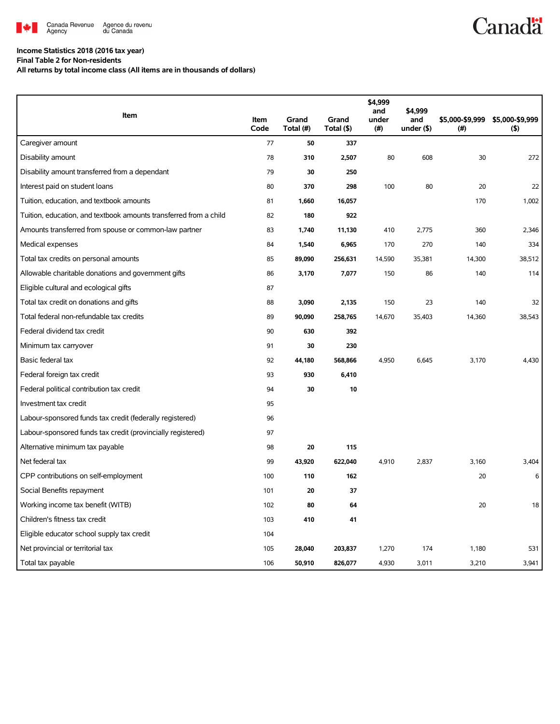

## **Income Statistics 2018 (2016 tax year)**

**Final Table 2 for Non-residents**

**All returns by total income class (All items are in thousands of dollars)**

|                                                                   |              |                    |                     | \$4,999<br>and | \$4,999              |                         |                        |
|-------------------------------------------------------------------|--------------|--------------------|---------------------|----------------|----------------------|-------------------------|------------------------|
| <b>Item</b>                                                       | Item<br>Code | Grand<br>Total (#) | Grand<br>Total (\$) | under<br>(#)   | and<br>under $($ \$) | \$5,000-\$9,999<br>(# ) | \$5,000-\$9,999<br>(5) |
| Caregiver amount                                                  | 77           | 50                 | 337                 |                |                      |                         |                        |
| Disability amount                                                 | 78           | 310                | 2,507               | 80             | 608                  | 30                      | 272                    |
| Disability amount transferred from a dependant                    | 79           | 30                 | 250                 |                |                      |                         |                        |
| Interest paid on student loans                                    | 80           | 370                | 298                 | 100            | 80                   | 20                      | 22                     |
| Tuition, education, and textbook amounts                          | 81           | 1,660              | 16,057              |                |                      | 170                     | 1.002                  |
| Tuition, education, and textbook amounts transferred from a child | 82           | 180                | 922                 |                |                      |                         |                        |
| Amounts transferred from spouse or common-law partner             | 83           | 1,740              | 11,130              | 410            | 2,775                | 360                     | 2,346                  |
| Medical expenses                                                  | 84           | 1,540              | 6,965               | 170            | 270                  | 140                     | 334                    |
| Total tax credits on personal amounts                             | 85           | 89,090             | 256,631             | 14,590         | 35,381               | 14,300                  | 38,512                 |
| Allowable charitable donations and government gifts               | 86           | 3,170              | 7,077               | 150            | 86                   | 140                     | 114                    |
| Eligible cultural and ecological gifts                            | 87           |                    |                     |                |                      |                         |                        |
| Total tax credit on donations and gifts                           | 88           | 3,090              | 2,135               | 150            | 23                   | 140                     | 32                     |
| Total federal non-refundable tax credits                          | 89           | 90,090             | 258,765             | 14,670         | 35,403               | 14,360                  | 38,543                 |
| Federal dividend tax credit                                       | 90           | 630                | 392                 |                |                      |                         |                        |
| Minimum tax carryover                                             | 91           | 30                 | 230                 |                |                      |                         |                        |
| Basic federal tax                                                 | 92           | 44,180             | 568,866             | 4,950          | 6,645                | 3,170                   | 4,430                  |
| Federal foreign tax credit                                        | 93           | 930                | 6,410               |                |                      |                         |                        |
| Federal political contribution tax credit                         | 94           | 30                 | 10                  |                |                      |                         |                        |
| Investment tax credit                                             | 95           |                    |                     |                |                      |                         |                        |
| Labour-sponsored funds tax credit (federally registered)          | 96           |                    |                     |                |                      |                         |                        |
| Labour-sponsored funds tax credit (provincially registered)       | 97           |                    |                     |                |                      |                         |                        |
| Alternative minimum tax payable                                   | 98           | 20                 | 115                 |                |                      |                         |                        |
| Net federal tax                                                   | 99           | 43,920             | 622,040             | 4,910          | 2,837                | 3.160                   | 3,404                  |
| CPP contributions on self-employment                              | 100          | 110                | 162                 |                |                      | 20                      | 6                      |
| Social Benefits repayment                                         | 101          | 20                 | 37                  |                |                      |                         |                        |
| Working income tax benefit (WITB)                                 | 102          | 80                 | 64                  |                |                      | 20                      | 18                     |
| Children's fitness tax credit                                     | 103          | 410                | 41                  |                |                      |                         |                        |
| Eligible educator school supply tax credit                        | 104          |                    |                     |                |                      |                         |                        |
| Net provincial or territorial tax                                 | 105          | 28,040             | 203,837             | 1,270          | 174                  | 1,180                   | 531                    |
| Total tax payable                                                 | 106          | 50,910             | 826,077             | 4,930          | 3,011                | 3,210                   | 3,941                  |

**Canadä**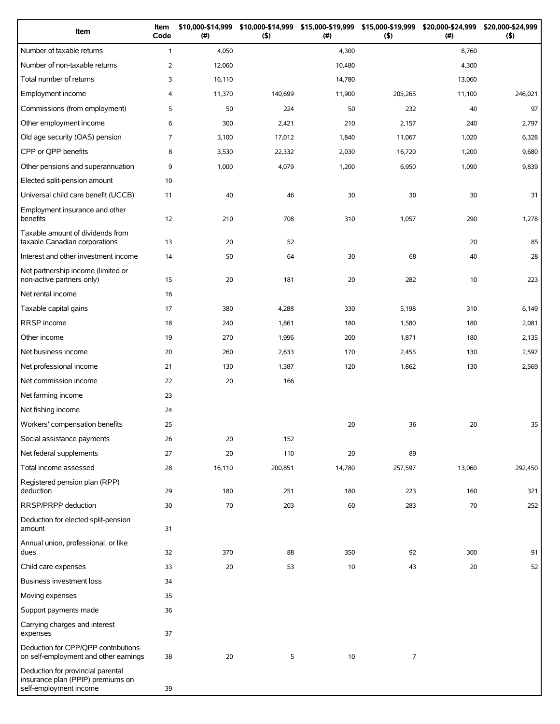| Item                                                                                             | Item<br>Code   | \$10,000-\$14,999<br>(#) | (5)     | \$10,000-\$14,999 \$15,000-\$19,999 \$15,000-\$19,999<br>$($ #) | (5)            | \$20,000-\$24,999<br>(# ) | \$20,000-\$24,999<br>(5) |
|--------------------------------------------------------------------------------------------------|----------------|--------------------------|---------|-----------------------------------------------------------------|----------------|---------------------------|--------------------------|
| Number of taxable returns                                                                        | $\mathbf{1}$   | 4,050                    |         | 4,300                                                           |                | 8,760                     |                          |
| Number of non-taxable returns                                                                    | $\overline{2}$ | 12,060                   |         | 10,480                                                          |                | 4,300                     |                          |
| Total number of returns                                                                          | 3              | 16,110                   |         | 14,780                                                          |                | 13,060                    |                          |
| Employment income                                                                                | 4              | 11,370                   | 140,699 | 11,900                                                          | 205,265        | 11,100                    | 246,021                  |
| Commissions (from employment)                                                                    | 5              | 50                       | 224     | 50                                                              | 232            | 40                        | 97                       |
| Other employment income                                                                          | 6              | 300                      | 2,421   | 210                                                             | 2,157          | 240                       | 2,797                    |
| Old age security (OAS) pension                                                                   | $\overline{7}$ | 3,100                    | 17,012  | 1,840                                                           | 11,067         | 1,020                     | 6,328                    |
| CPP or QPP benefits                                                                              | 8              | 3,530                    | 22,332  | 2,030                                                           | 16,720         | 1,200                     | 9,680                    |
| Other pensions and superannuation                                                                | 9              | 1,000                    | 4,079   | 1,200                                                           | 6,950          | 1,090                     | 9,839                    |
| Elected split-pension amount                                                                     | 10             |                          |         |                                                                 |                |                           |                          |
| Universal child care benefit (UCCB)                                                              | 11             | 40                       | 46      | 30                                                              | 30             | 30                        | 31                       |
| Employment insurance and other<br>benefits                                                       | 12             | 210                      | 708     | 310                                                             | 1,057          | 290                       | 1,278                    |
| Taxable amount of dividends from<br>taxable Canadian corporations                                | 13             | 20                       | 52      |                                                                 |                | 20                        | 85                       |
| Interest and other investment income                                                             | 14             | 50                       | 64      | 30                                                              | 68             | 40                        | 28                       |
| Net partnership income (limited or<br>non-active partners only)                                  | 15             | 20                       | 181     | 20                                                              | 282            | 10                        | 223                      |
| Net rental income                                                                                | 16             |                          |         |                                                                 |                |                           |                          |
| Taxable capital gains                                                                            | 17             | 380                      | 4,288   | 330                                                             | 5,198          | 310                       | 6,149                    |
| RRSP income                                                                                      | 18             | 240                      | 1,861   | 180                                                             | 1,580          | 180                       | 2,081                    |
| Other income                                                                                     | 19             | 270                      | 1,996   | 200                                                             | 1,871          | 180                       | 2,135                    |
| Net business income                                                                              | 20             | 260                      | 2,633   | 170                                                             | 2,455          | 130                       | 2,597                    |
| Net professional income                                                                          | 21             | 130                      | 1,387   | 120                                                             | 1,862          | 130                       | 2,569                    |
| Net commission income                                                                            | 22             | 20                       | 166     |                                                                 |                |                           |                          |
| Net farming income                                                                               | 23             |                          |         |                                                                 |                |                           |                          |
| Net fishing income                                                                               | 24             |                          |         |                                                                 |                |                           |                          |
| Workers' compensation benefits                                                                   | 25             |                          |         | 20                                                              | 36             | 20                        | 35                       |
| Social assistance payments                                                                       | 26             | 20                       | 152     |                                                                 |                |                           |                          |
| Net federal supplements                                                                          | 27             | 20                       | 110     | 20                                                              | 89             |                           |                          |
| Total income assessed                                                                            | 28             | 16,110                   | 200,851 | 14,780                                                          | 257,597        | 13,060                    | 292,450                  |
| Registered pension plan (RPP)<br>deduction                                                       | 29             | 180                      | 251     | 180                                                             | 223            | 160                       | 321                      |
| RRSP/PRPP deduction                                                                              | 30             | 70                       | 203     | 60                                                              | 283            | 70                        | 252                      |
| Deduction for elected split-pension<br>amount                                                    | 31             |                          |         |                                                                 |                |                           |                          |
| Annual union, professional, or like<br>dues                                                      | 32             | 370                      | 88      | 350                                                             | 92             | 300                       | 91                       |
| Child care expenses                                                                              | 33             | 20                       | 53      | 10                                                              | 43             | 20                        | 52                       |
| Business investment loss                                                                         | 34             |                          |         |                                                                 |                |                           |                          |
| Moving expenses                                                                                  | 35             |                          |         |                                                                 |                |                           |                          |
| Support payments made                                                                            | 36             |                          |         |                                                                 |                |                           |                          |
| Carrying charges and interest<br>expenses                                                        | 37             |                          |         |                                                                 |                |                           |                          |
| Deduction for CPP/QPP contributions<br>on self-employment and other earnings                     | 38             | 20                       | 5       | 10                                                              | $\overline{7}$ |                           |                          |
| Deduction for provincial parental<br>insurance plan (PPIP) premiums on<br>self-employment income | 39             |                          |         |                                                                 |                |                           |                          |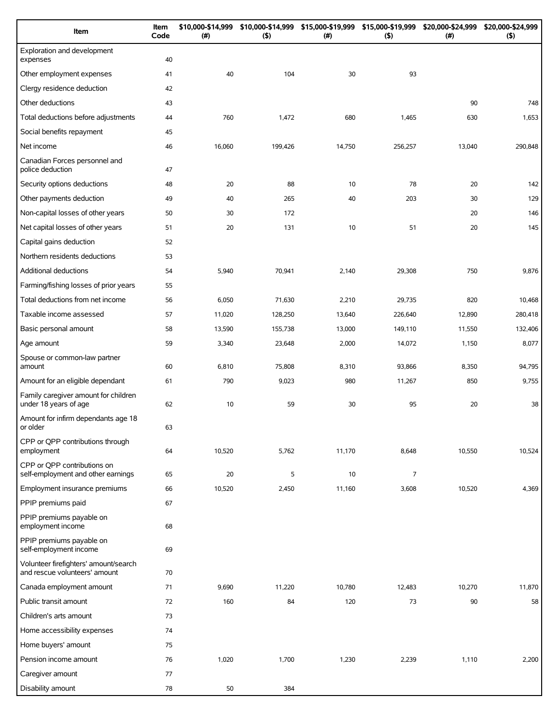| Item                                                                   | Item<br>Code | \$10,000-\$14,999<br>(# ) | \$10,000-\$14,999<br>(5) | \$15,000-\$19,999<br>$(\#)$ | \$15,000-\$19,999<br>(5) | \$20,000-\$24,999<br>(#) | \$20,000-\$24,999<br>(5) |
|------------------------------------------------------------------------|--------------|---------------------------|--------------------------|-----------------------------|--------------------------|--------------------------|--------------------------|
| Exploration and development<br>expenses                                | 40           |                           |                          |                             |                          |                          |                          |
| Other employment expenses                                              | 41           | 40                        | 104                      | 30                          | 93                       |                          |                          |
| Clergy residence deduction                                             | 42           |                           |                          |                             |                          |                          |                          |
| Other deductions                                                       | 43           |                           |                          |                             |                          | 90                       | 748                      |
| Total deductions before adjustments                                    | 44           | 760                       | 1,472                    | 680                         | 1,465                    | 630                      | 1,653                    |
| Social benefits repayment                                              | 45           |                           |                          |                             |                          |                          |                          |
| Net income                                                             | 46           | 16,060                    | 199,426                  | 14,750                      | 256,257                  | 13,040                   | 290,848                  |
| Canadian Forces personnel and<br>police deduction                      | 47           |                           |                          |                             |                          |                          |                          |
| Security options deductions                                            | 48           | 20                        | 88                       | 10                          | 78                       | 20                       | 142                      |
| Other payments deduction                                               | 49           | 40                        | 265                      | 40                          | 203                      | 30                       | 129                      |
| Non-capital losses of other years                                      | 50           | 30                        | 172                      |                             |                          | 20                       | 146                      |
| Net capital losses of other years                                      | 51           | 20                        | 131                      | 10                          | 51                       | 20                       | 145                      |
| Capital gains deduction                                                | 52           |                           |                          |                             |                          |                          |                          |
| Northern residents deductions                                          | 53           |                           |                          |                             |                          |                          |                          |
| Additional deductions                                                  | 54           | 5,940                     | 70,941                   | 2,140                       | 29,308                   | 750                      | 9,876                    |
| Farming/fishing losses of prior years                                  | 55           |                           |                          |                             |                          |                          |                          |
| Total deductions from net income                                       | 56           | 6,050                     | 71,630                   | 2,210                       | 29,735                   | 820                      | 10,468                   |
| Taxable income assessed                                                | 57           | 11,020                    | 128,250                  | 13,640                      | 226,640                  | 12,890                   | 280,418                  |
| Basic personal amount                                                  | 58           | 13,590                    | 155,738                  | 13,000                      | 149,110                  | 11,550                   | 132,406                  |
| Age amount                                                             | 59           | 3,340                     | 23,648                   | 2,000                       | 14,072                   | 1,150                    | 8,077                    |
| Spouse or common-law partner<br>amount                                 | 60           | 6,810                     | 75,808                   | 8,310                       | 93,866                   | 8,350                    | 94,795                   |
| Amount for an eligible dependant                                       | 61           | 790                       | 9,023                    | 980                         | 11,267                   | 850                      | 9,755                    |
| Family caregiver amount for children<br>under 18 years of age          | 62           | 10                        | 59                       | 30                          | 95                       | 20                       | 38                       |
| Amount for infirm dependants age 18<br>or older                        | 63           |                           |                          |                             |                          |                          |                          |
| CPP or QPP contributions through<br>employment                         | 64           | 10,520                    | 5,762                    | 11,170                      | 8,648                    | 10,550                   | 10,524                   |
| CPP or OPP contributions on<br>self-employment and other earnings      | 65           | 20                        | 5                        | 10                          | $\overline{7}$           |                          |                          |
| Employment insurance premiums                                          | 66           | 10,520                    | 2,450                    | 11,160                      | 3,608                    | 10,520                   | 4,369                    |
| PPIP premiums paid                                                     | 67           |                           |                          |                             |                          |                          |                          |
| PPIP premiums payable on<br>employment income                          | 68           |                           |                          |                             |                          |                          |                          |
| PPIP premiums payable on<br>self-employment income                     | 69           |                           |                          |                             |                          |                          |                          |
| Volunteer firefighters' amount/search<br>and rescue volunteers' amount | 70           |                           |                          |                             |                          |                          |                          |
| Canada employment amount                                               | 71           | 9,690                     | 11,220                   | 10,780                      | 12,483                   | 10,270                   | 11,870                   |
| Public transit amount                                                  | 72           | 160                       | 84                       | 120                         | 73                       | 90                       | 58                       |
| Children's arts amount                                                 | 73           |                           |                          |                             |                          |                          |                          |
| Home accessibility expenses                                            | 74           |                           |                          |                             |                          |                          |                          |
| Home buyers' amount                                                    | 75           |                           |                          |                             |                          |                          |                          |
| Pension income amount                                                  | 76           | 1,020                     | 1,700                    | 1,230                       | 2,239                    | 1,110                    | 2,200                    |
| Caregiver amount                                                       | 77           |                           |                          |                             |                          |                          |                          |
| Disability amount                                                      | 78           | 50                        | 384                      |                             |                          |                          |                          |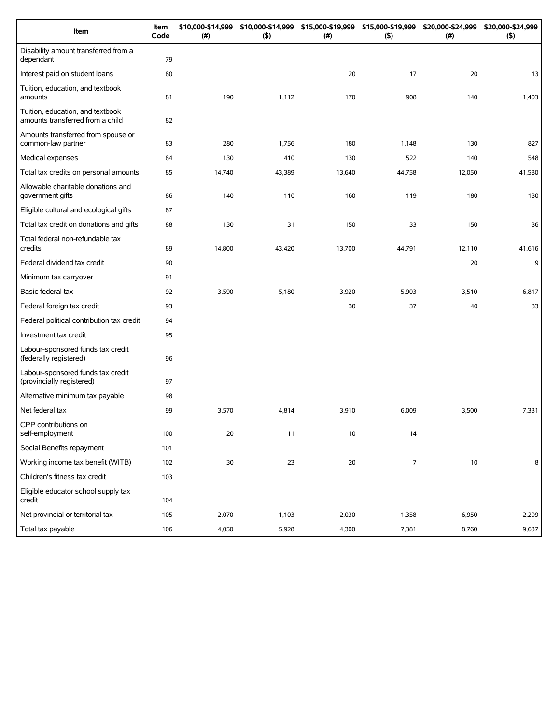| Item                                                                 | Item<br>Code | \$10,000-\$14,999<br>(#) | \$10,000-\$14,999<br>(5) | \$15,000-\$19,999<br>(# ) | \$15,000-\$19,999<br>(5) | \$20,000-\$24,999<br>(#) | \$20,000-\$24,999<br>(5) |
|----------------------------------------------------------------------|--------------|--------------------------|--------------------------|---------------------------|--------------------------|--------------------------|--------------------------|
| Disability amount transferred from a<br>dependant                    | 79           |                          |                          |                           |                          |                          |                          |
| Interest paid on student loans                                       | 80           |                          |                          | 20                        | 17                       | 20                       | 13                       |
| Tuition, education, and textbook<br>amounts                          | 81           | 190                      | 1,112                    | 170                       | 908                      | 140                      | 1,403                    |
| Tuition, education, and textbook<br>amounts transferred from a child | 82           |                          |                          |                           |                          |                          |                          |
| Amounts transferred from spouse or<br>common-law partner             | 83           | 280                      | 1,756                    | 180                       | 1,148                    | 130                      | 827                      |
| Medical expenses                                                     | 84           | 130                      | 410                      | 130                       | 522                      | 140                      | 548                      |
| Total tax credits on personal amounts                                | 85           | 14,740                   | 43,389                   | 13,640                    | 44,758                   | 12,050                   | 41,580                   |
| Allowable charitable donations and<br>government gifts               | 86           | 140                      | 110                      | 160                       | 119                      | 180                      | 130                      |
| Eligible cultural and ecological gifts                               | 87           |                          |                          |                           |                          |                          |                          |
| Total tax credit on donations and gifts                              | 88           | 130                      | 31                       | 150                       | 33                       | 150                      | 36                       |
| Total federal non-refundable tax<br>credits                          | 89           | 14,800                   | 43,420                   | 13,700                    | 44,791                   | 12,110                   | 41,616                   |
| Federal dividend tax credit                                          | 90           |                          |                          |                           |                          | 20                       | 9                        |
| Minimum tax carryover                                                | 91           |                          |                          |                           |                          |                          |                          |
| Basic federal tax                                                    | 92           | 3,590                    | 5,180                    | 3,920                     | 5,903                    | 3,510                    | 6,817                    |
| Federal foreign tax credit                                           | 93           |                          |                          | 30                        | 37                       | 40                       | 33                       |
| Federal political contribution tax credit                            | 94           |                          |                          |                           |                          |                          |                          |
| Investment tax credit                                                | 95           |                          |                          |                           |                          |                          |                          |
| Labour-sponsored funds tax credit<br>(federally registered)          | 96           |                          |                          |                           |                          |                          |                          |
| Labour-sponsored funds tax credit<br>(provincially registered)       | 97           |                          |                          |                           |                          |                          |                          |
| Alternative minimum tax payable                                      | 98           |                          |                          |                           |                          |                          |                          |
| Net federal tax                                                      | 99           | 3,570                    | 4,814                    | 3,910                     | 6,009                    | 3,500                    | 7,331                    |
| CPP contributions on<br>self-employment                              | 100          | 20                       | 11                       | $10$                      | 14                       |                          |                          |
| Social Benefits repayment                                            | 101          |                          |                          |                           |                          |                          |                          |
| Working income tax benefit (WITB)                                    | 102          | $30\,$                   | 23                       | 20                        | $\overline{7}$           | 10                       | 8                        |
| Children's fitness tax credit                                        | 103          |                          |                          |                           |                          |                          |                          |
| Eligible educator school supply tax<br>credit                        | 104          |                          |                          |                           |                          |                          |                          |
| Net provincial or territorial tax                                    | 105          | 2,070                    | 1,103                    | 2,030                     | 1,358                    | 6,950                    | 2,299                    |
| Total tax payable                                                    | 106          | 4,050                    | 5,928                    | 4,300                     | 7,381                    | 8,760                    | 9,637                    |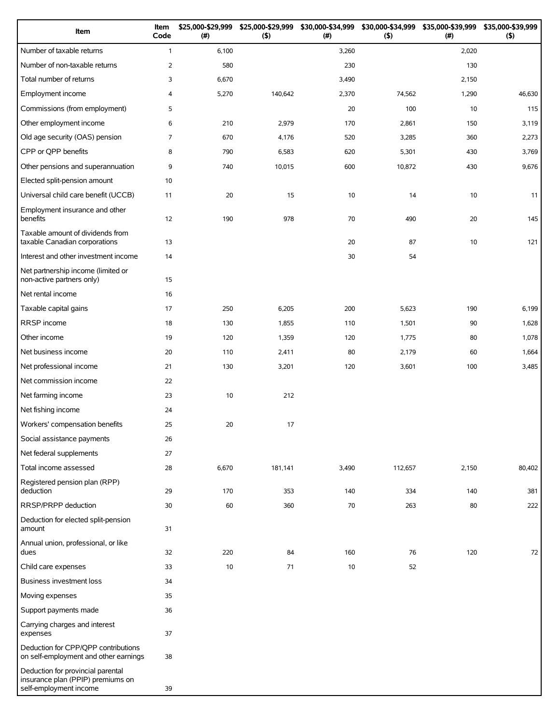| Item                                                                                             | Item<br>Code   | \$25,000-\$29,999<br>(#) | \$25,000-\$29,999<br>(5) | \$30,000-\$34,999<br>(# ) | \$30,000-\$34,999<br>(5) | \$35,000-\$39,999<br>(# ) | \$35,000-\$39,999<br>(5) |
|--------------------------------------------------------------------------------------------------|----------------|--------------------------|--------------------------|---------------------------|--------------------------|---------------------------|--------------------------|
| Number of taxable returns                                                                        | $\mathbf{1}$   | 6,100                    |                          | 3,260                     |                          | 2,020                     |                          |
| Number of non-taxable returns                                                                    | $\overline{2}$ | 580                      |                          | 230                       |                          | 130                       |                          |
| Total number of returns                                                                          | 3              | 6,670                    |                          | 3,490                     |                          | 2,150                     |                          |
| Employment income                                                                                | 4              | 5,270                    | 140,642                  | 2,370                     | 74,562                   | 1,290                     | 46,630                   |
| Commissions (from employment)                                                                    | 5              |                          |                          | 20                        | 100                      | 10                        | 115                      |
| Other employment income                                                                          | 6              | 210                      | 2,979                    | 170                       | 2,861                    | 150                       | 3,119                    |
| Old age security (OAS) pension                                                                   | $\overline{7}$ | 670                      | 4,176                    | 520                       | 3,285                    | 360                       | 2,273                    |
| CPP or QPP benefits                                                                              | 8              | 790                      | 6,583                    | 620                       | 5,301                    | 430                       | 3,769                    |
| Other pensions and superannuation                                                                | 9              | 740                      | 10,015                   | 600                       | 10,872                   | 430                       | 9,676                    |
| Elected split-pension amount                                                                     | 10             |                          |                          |                           |                          |                           |                          |
| Universal child care benefit (UCCB)                                                              | 11             | 20                       | 15                       | 10                        | 14                       | 10                        | 11                       |
| Employment insurance and other<br>benefits                                                       | 12             | 190                      | 978                      | 70                        | 490                      | 20                        | 145                      |
| Taxable amount of dividends from<br>taxable Canadian corporations                                | 13             |                          |                          | 20                        | 87                       | $10$                      | 121                      |
| Interest and other investment income                                                             | 14             |                          |                          | 30                        | 54                       |                           |                          |
| Net partnership income (limited or<br>non-active partners only)                                  | 15             |                          |                          |                           |                          |                           |                          |
| Net rental income                                                                                | 16             |                          |                          |                           |                          |                           |                          |
| Taxable capital gains                                                                            | 17             | 250                      | 6,205                    | 200                       | 5,623                    | 190                       | 6,199                    |
| RRSP income                                                                                      | 18             | 130                      | 1,855                    | 110                       | 1,501                    | 90                        | 1,628                    |
| Other income                                                                                     | 19             | 120                      | 1,359                    | 120                       | 1,775                    | 80                        | 1,078                    |
| Net business income                                                                              | 20             | 110                      | 2,411                    | 80                        | 2,179                    | 60                        | 1,664                    |
| Net professional income                                                                          | 21             | 130                      | 3,201                    | 120                       | 3,601                    | 100                       | 3,485                    |
| Net commission income                                                                            | 22             |                          |                          |                           |                          |                           |                          |
| Net farming income                                                                               | 23             | 10                       | 212                      |                           |                          |                           |                          |
| Net fishing income                                                                               | 24             |                          |                          |                           |                          |                           |                          |
| Workers' compensation benefits                                                                   | 25             | 20                       | 17                       |                           |                          |                           |                          |
| Social assistance payments                                                                       | 26             |                          |                          |                           |                          |                           |                          |
| Net federal supplements                                                                          | 27             |                          |                          |                           |                          |                           |                          |
| Total income assessed                                                                            | 28             | 6,670                    | 181,141                  | 3,490                     | 112,657                  | 2,150                     | 80,402                   |
| Registered pension plan (RPP)<br>deduction                                                       | 29             | 170                      | 353                      | 140                       | 334                      | 140                       | 381                      |
| RRSP/PRPP deduction                                                                              | 30             | 60                       | 360                      | 70                        | 263                      | 80                        | 222                      |
| Deduction for elected split-pension<br>amount                                                    | 31             |                          |                          |                           |                          |                           |                          |
| Annual union, professional, or like<br>dues                                                      | 32             | 220                      | 84                       | 160                       | 76                       | 120                       | 72                       |
| Child care expenses                                                                              | 33             | 10                       | 71                       | 10                        | 52                       |                           |                          |
| Business investment loss                                                                         | 34             |                          |                          |                           |                          |                           |                          |
| Moving expenses                                                                                  | 35             |                          |                          |                           |                          |                           |                          |
| Support payments made                                                                            | 36             |                          |                          |                           |                          |                           |                          |
| Carrying charges and interest<br>expenses                                                        | 37             |                          |                          |                           |                          |                           |                          |
| Deduction for CPP/QPP contributions<br>on self-employment and other earnings                     | 38             |                          |                          |                           |                          |                           |                          |
| Deduction for provincial parental<br>insurance plan (PPIP) premiums on<br>self-employment income | 39             |                          |                          |                           |                          |                           |                          |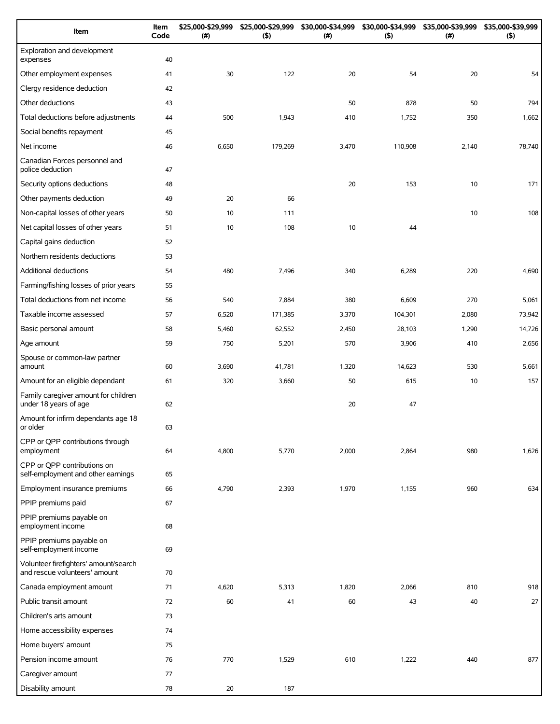| Item                                                                   | Item<br>Code | \$25,000-\$29,999<br>(# ) | \$25,000-\$29,999<br>(5) | \$30,000-\$34,999<br>(#) | \$30,000-\$34,999<br>(5) | \$35,000-\$39,999<br>$(\#)$ | \$35,000-\$39,999<br>(5) |
|------------------------------------------------------------------------|--------------|---------------------------|--------------------------|--------------------------|--------------------------|-----------------------------|--------------------------|
| Exploration and development<br>expenses                                | 40           |                           |                          |                          |                          |                             |                          |
| Other employment expenses                                              | 41           | 30                        | 122                      | 20                       | 54                       | 20                          | 54                       |
| Clergy residence deduction                                             | 42           |                           |                          |                          |                          |                             |                          |
| Other deductions                                                       | 43           |                           |                          | 50                       | 878                      | 50                          | 794                      |
| Total deductions before adjustments                                    | 44           | 500                       | 1,943                    | 410                      | 1,752                    | 350                         | 1,662                    |
| Social benefits repayment                                              | 45           |                           |                          |                          |                          |                             |                          |
| Net income                                                             | 46           | 6,650                     | 179,269                  | 3,470                    | 110,908                  | 2,140                       | 78,740                   |
| Canadian Forces personnel and<br>police deduction                      | 47           |                           |                          |                          |                          |                             |                          |
| Security options deductions                                            | 48           |                           |                          | 20                       | 153                      | 10                          | 171                      |
| Other payments deduction                                               | 49           | 20                        | 66                       |                          |                          |                             |                          |
| Non-capital losses of other years                                      | 50           | 10                        | 111                      |                          |                          | 10                          | 108                      |
| Net capital losses of other years                                      | 51           | 10                        | 108                      | 10                       | 44                       |                             |                          |
| Capital gains deduction                                                | 52           |                           |                          |                          |                          |                             |                          |
| Northern residents deductions                                          | 53           |                           |                          |                          |                          |                             |                          |
| Additional deductions                                                  | 54           | 480                       | 7,496                    | 340                      | 6,289                    | 220                         | 4,690                    |
| Farming/fishing losses of prior years                                  | 55           |                           |                          |                          |                          |                             |                          |
| Total deductions from net income                                       | 56           | 540                       | 7,884                    | 380                      | 6,609                    | 270                         | 5,061                    |
| Taxable income assessed                                                | 57           | 6,520                     | 171,385                  | 3,370                    | 104,301                  | 2,080                       | 73,942                   |
| Basic personal amount                                                  | 58           | 5,460                     | 62,552                   | 2,450                    | 28,103                   | 1,290                       | 14,726                   |
| Age amount                                                             | 59           | 750                       | 5,201                    | 570                      | 3,906                    | 410                         | 2,656                    |
| Spouse or common-law partner<br>amount                                 | 60           | 3,690                     | 41,781                   | 1,320                    | 14,623                   | 530                         | 5,661                    |
| Amount for an eligible dependant                                       | 61           | 320                       | 3,660                    | 50                       | 615                      | 10                          | 157                      |
| Family caregiver amount for children<br>under 18 years of age          | 62           |                           |                          | 20                       | 47                       |                             |                          |
| Amount for infirm dependants age 18<br>or older                        | 63           |                           |                          |                          |                          |                             |                          |
| CPP or QPP contributions through<br>employment                         | 64           | 4,800                     | 5,770                    | 2,000                    | 2,864                    | 980                         | 1,626                    |
| CPP or QPP contributions on<br>self-employment and other earnings      | 65           |                           |                          |                          |                          |                             |                          |
| Employment insurance premiums                                          | 66           | 4,790                     | 2,393                    | 1,970                    | 1,155                    | 960                         | 634                      |
| PPIP premiums paid                                                     | 67           |                           |                          |                          |                          |                             |                          |
| PPIP premiums payable on<br>employment income                          | 68           |                           |                          |                          |                          |                             |                          |
| PPIP premiums payable on<br>self-employment income                     | 69           |                           |                          |                          |                          |                             |                          |
| Volunteer firefighters' amount/search<br>and rescue volunteers' amount | 70           |                           |                          |                          |                          |                             |                          |
| Canada employment amount                                               | 71           | 4,620                     | 5,313                    | 1,820                    | 2,066                    | 810                         | 918                      |
| Public transit amount                                                  | 72           | 60                        | 41                       | 60                       | 43                       | 40                          | 27                       |
| Children's arts amount                                                 | 73           |                           |                          |                          |                          |                             |                          |
| Home accessibility expenses                                            | 74           |                           |                          |                          |                          |                             |                          |
| Home buyers' amount                                                    | 75           |                           |                          |                          |                          |                             |                          |
| Pension income amount                                                  | 76           | 770                       | 1,529                    | 610                      | 1,222                    | 440                         | 877                      |
| Caregiver amount                                                       | 77           |                           |                          |                          |                          |                             |                          |
| Disability amount                                                      | 78           | 20                        | 187                      |                          |                          |                             |                          |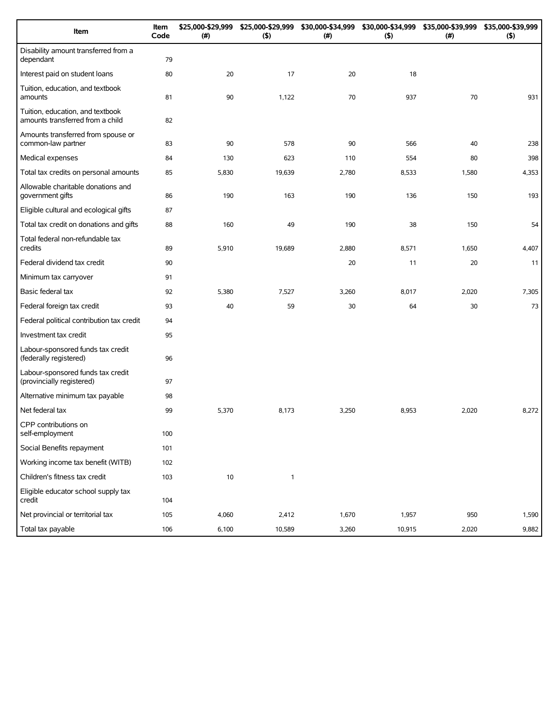| Item                                                                 | Item<br>Code | \$25,000-\$29,999<br>(#) | \$25,000-\$29,999<br>(5) | \$30,000-\$34,999<br>(#) | \$30,000-\$34,999<br>(5) | \$35,000-\$39,999<br>(#) | \$35,000-\$39,999<br>(5) |
|----------------------------------------------------------------------|--------------|--------------------------|--------------------------|--------------------------|--------------------------|--------------------------|--------------------------|
| Disability amount transferred from a<br>dependant                    | 79           |                          |                          |                          |                          |                          |                          |
| Interest paid on student loans                                       | 80           | 20                       | 17                       | 20                       | 18                       |                          |                          |
| Tuition, education, and textbook<br>amounts                          | 81           | 90                       | 1,122                    | 70                       | 937                      | 70                       | 931                      |
| Tuition, education, and textbook<br>amounts transferred from a child | 82           |                          |                          |                          |                          |                          |                          |
| Amounts transferred from spouse or<br>common-law partner             | 83           | 90                       | 578                      | 90                       | 566                      | 40                       | 238                      |
| Medical expenses                                                     | 84           | 130                      | 623                      | 110                      | 554                      | 80                       | 398                      |
| Total tax credits on personal amounts                                | 85           | 5,830                    | 19,639                   | 2,780                    | 8,533                    | 1,580                    | 4,353                    |
| Allowable charitable donations and<br>government gifts               | 86           | 190                      | 163                      | 190                      | 136                      | 150                      | 193                      |
| Eligible cultural and ecological gifts                               | 87           |                          |                          |                          |                          |                          |                          |
| Total tax credit on donations and gifts                              | 88           | 160                      | 49                       | 190                      | 38                       | 150                      | 54                       |
| Total federal non-refundable tax<br>credits                          | 89           | 5,910                    | 19,689                   | 2,880                    | 8,571                    | 1,650                    | 4,407                    |
| Federal dividend tax credit                                          | 90           |                          |                          | 20                       | 11                       | 20                       | 11                       |
| Minimum tax carryover                                                | 91           |                          |                          |                          |                          |                          |                          |
| Basic federal tax                                                    | 92           | 5,380                    | 7,527                    | 3,260                    | 8,017                    | 2,020                    | 7,305                    |
| Federal foreign tax credit                                           | 93           | 40                       | 59                       | 30                       | 64                       | 30                       | 73                       |
| Federal political contribution tax credit                            | 94           |                          |                          |                          |                          |                          |                          |
| Investment tax credit                                                | 95           |                          |                          |                          |                          |                          |                          |
| Labour-sponsored funds tax credit<br>(federally registered)          | 96           |                          |                          |                          |                          |                          |                          |
| Labour-sponsored funds tax credit<br>(provincially registered)       | 97           |                          |                          |                          |                          |                          |                          |
| Alternative minimum tax payable                                      | 98           |                          |                          |                          |                          |                          |                          |
| Net federal tax                                                      | 99           | 5,370                    | 8,173                    | 3,250                    | 8,953                    | 2,020                    | 8,272                    |
| CPP contributions on<br>self-employment                              | 100          |                          |                          |                          |                          |                          |                          |
| Social Benefits repayment                                            | 101          |                          |                          |                          |                          |                          |                          |
| Working income tax benefit (WITB)                                    | 102          |                          |                          |                          |                          |                          |                          |
| Children's fitness tax credit                                        | 103          | 10                       | $\mathbf{1}$             |                          |                          |                          |                          |
| Eligible educator school supply tax<br>credit                        | 104          |                          |                          |                          |                          |                          |                          |
| Net provincial or territorial tax                                    | 105          | 4,060                    | 2,412                    | 1,670                    | 1,957                    | 950                      | 1,590                    |
| Total tax payable                                                    | 106          | 6,100                    | 10,589                   | 3,260                    | 10,915                   | 2,020                    | 9,882                    |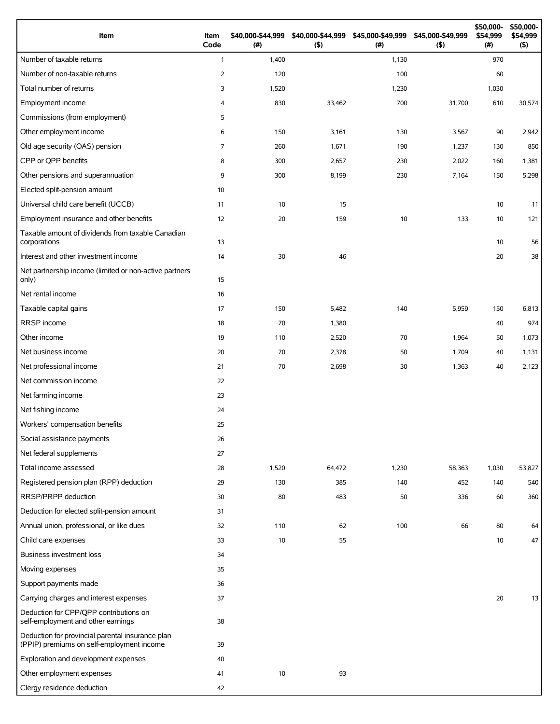| Item                                                                                          | Item<br>Code   | \$40,000-\$44,999<br>(#) | \$40,000-\$44,999<br>(5) | \$45,000-\$49,999<br>(#) | \$45,000-\$49,999<br>(5) | \$50,000-<br>\$54,999<br>(#) | \$50,000-<br>\$54,999<br>$($ \$) |
|-----------------------------------------------------------------------------------------------|----------------|--------------------------|--------------------------|--------------------------|--------------------------|------------------------------|----------------------------------|
| Number of taxable returns                                                                     | $\mathbf{1}$   | 1,400                    |                          | 1,130                    |                          | 970                          |                                  |
| Number of non-taxable returns                                                                 | 2              | 120                      |                          | 100                      |                          | 60                           |                                  |
| Total number of returns                                                                       | 3              | 1,520                    |                          | 1,230                    |                          | 1,030                        |                                  |
| Employment income                                                                             | $\overline{4}$ | 830                      | 33,462                   | 700                      | 31,700                   | 610                          | 30,574                           |
| Commissions (from employment)                                                                 | 5              |                          |                          |                          |                          |                              |                                  |
| Other employment income                                                                       | 6              | 150                      | 3,161                    | 130                      | 3,567                    | 90                           | 2,942                            |
| Old age security (OAS) pension                                                                | 7              | 260                      | 1,671                    | 190                      | 1,237                    | 130                          | 850                              |
| CPP or QPP benefits                                                                           | 8              | 300                      | 2,657                    | 230                      | 2,022                    | 160                          | 1,381                            |
| Other pensions and superannuation                                                             | 9              | 300                      | 8,199                    | 230                      | 7,164                    | 150                          | 5,298                            |
| Elected split-pension amount                                                                  | 10             |                          |                          |                          |                          |                              |                                  |
| Universal child care benefit (UCCB)                                                           | 11             | 10                       | 15                       |                          |                          | 10                           | 11                               |
| Employment insurance and other benefits                                                       | 12             | 20                       | 159                      | 10                       | 133                      | 10                           | 121                              |
| Taxable amount of dividends from taxable Canadian<br>corporations                             | 13             |                          |                          |                          |                          | 10                           | 56                               |
| Interest and other investment income                                                          | 14             | 30                       | 46                       |                          |                          | 20                           | 38                               |
| Net partnership income (limited or non-active partners<br>only)                               | 15             |                          |                          |                          |                          |                              |                                  |
| Net rental income                                                                             | 16             |                          |                          |                          |                          |                              |                                  |
| Taxable capital gains                                                                         | 17             | 150                      | 5,482                    | 140                      | 5,959                    | 150                          | 6,813                            |
| RRSP income                                                                                   | 18             | 70                       | 1,380                    |                          |                          | 40                           | 974                              |
| Other income                                                                                  | 19             | 110                      | 2,520                    | 70                       | 1,964                    | 50                           | 1,073                            |
| Net business income                                                                           | 20             | 70                       | 2,378                    | 50                       | 1,709                    | 40                           | 1,131                            |
| Net professional income                                                                       | 21             | 70                       | 2,698                    | 30                       | 1,363                    | 40                           | 2,123                            |
| Net commission income                                                                         | 22             |                          |                          |                          |                          |                              |                                  |
| Net farming income                                                                            | 23             |                          |                          |                          |                          |                              |                                  |
| Net fishing income                                                                            | 24             |                          |                          |                          |                          |                              |                                  |
| Workers' compensation benefits                                                                | 25             |                          |                          |                          |                          |                              |                                  |
| Social assistance payments                                                                    | 26             |                          |                          |                          |                          |                              |                                  |
| Net federal supplements                                                                       | 27             |                          |                          |                          |                          |                              |                                  |
| Total income assessed                                                                         | 28             | 1,520                    | 64,472                   | 1,230                    | 58,363                   | 1,030                        | 53,827                           |
| Registered pension plan (RPP) deduction                                                       | 29             | 130                      | 385                      | 140                      | 452                      | 140                          | 540                              |
| RRSP/PRPP deduction                                                                           | 30             | 80                       | 483                      | 50                       | 336                      | 60                           | 360                              |
| Deduction for elected split-pension amount                                                    | 31             |                          |                          |                          |                          |                              |                                  |
| Annual union, professional, or like dues                                                      | 32             | 110                      | 62                       | 100                      | 66                       | 80                           | 64                               |
| Child care expenses                                                                           | 33             | 10                       | 55                       |                          |                          | 10                           | 47                               |
| Business investment loss                                                                      | 34             |                          |                          |                          |                          |                              |                                  |
| Moving expenses                                                                               | 35             |                          |                          |                          |                          |                              |                                  |
| Support payments made                                                                         | 36             |                          |                          |                          |                          |                              |                                  |
| Carrying charges and interest expenses                                                        | 37             |                          |                          |                          |                          | 20                           | 13                               |
| Deduction for CPP/QPP contributions on<br>self-employment and other earnings                  | 38             |                          |                          |                          |                          |                              |                                  |
| Deduction for provincial parental insurance plan<br>(PPIP) premiums on self-employment income | 39             |                          |                          |                          |                          |                              |                                  |
| Exploration and development expenses                                                          | 40             |                          |                          |                          |                          |                              |                                  |
| Other employment expenses                                                                     | 41             | 10                       | 93                       |                          |                          |                              |                                  |
| Clergy residence deduction                                                                    | 42             |                          |                          |                          |                          |                              |                                  |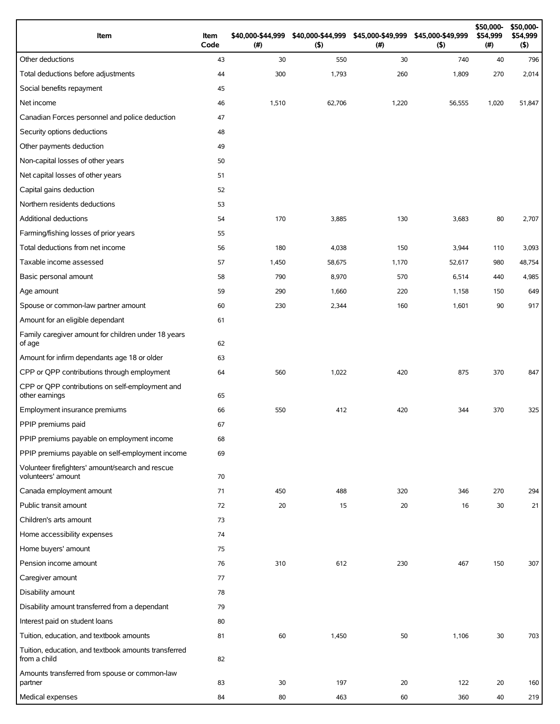| Item                                                                   | Item<br>Code | \$40,000-\$44,999<br>(#) | \$40,000-\$44,999<br>(5) | \$45,000-\$49,999<br>(# ) | \$45,000-\$49,999<br>(5) | \$50,000-<br>\$54,999<br>(#) | \$50,000-<br>\$54,999<br>$($ \$) |
|------------------------------------------------------------------------|--------------|--------------------------|--------------------------|---------------------------|--------------------------|------------------------------|----------------------------------|
| Other deductions                                                       | 43           | 30                       | 550                      | 30                        | 740                      | 40                           | 796                              |
| Total deductions before adjustments                                    | 44           | 300                      | 1,793                    | 260                       | 1,809                    | 270                          | 2,014                            |
| Social benefits repayment                                              | 45           |                          |                          |                           |                          |                              |                                  |
| Net income                                                             | 46           | 1,510                    | 62,706                   | 1,220                     | 56,555                   | 1,020                        | 51,847                           |
| Canadian Forces personnel and police deduction                         | 47           |                          |                          |                           |                          |                              |                                  |
| Security options deductions                                            | 48           |                          |                          |                           |                          |                              |                                  |
| Other payments deduction                                               | 49           |                          |                          |                           |                          |                              |                                  |
| Non-capital losses of other years                                      | 50           |                          |                          |                           |                          |                              |                                  |
| Net capital losses of other years                                      | 51           |                          |                          |                           |                          |                              |                                  |
| Capital gains deduction                                                | 52           |                          |                          |                           |                          |                              |                                  |
| Northern residents deductions                                          | 53           |                          |                          |                           |                          |                              |                                  |
| Additional deductions                                                  | 54           | 170                      | 3,885                    | 130                       | 3,683                    | 80                           | 2,707                            |
| Farming/fishing losses of prior years                                  | 55           |                          |                          |                           |                          |                              |                                  |
| Total deductions from net income                                       | 56           | 180                      | 4,038                    | 150                       | 3,944                    | 110                          | 3,093                            |
| Taxable income assessed                                                | 57           | 1,450                    | 58,675                   | 1,170                     | 52,617                   | 980                          | 48,754                           |
| Basic personal amount                                                  | 58           | 790                      | 8,970                    | 570                       | 6,514                    | 440                          | 4,985                            |
| Age amount                                                             | 59           | 290                      | 1,660                    | 220                       | 1,158                    | 150                          | 649                              |
| Spouse or common-law partner amount                                    | 60           | 230                      | 2,344                    | 160                       | 1,601                    | 90                           | 917                              |
| Amount for an eligible dependant                                       | 61           |                          |                          |                           |                          |                              |                                  |
| Family caregiver amount for children under 18 years<br>of age          | 62           |                          |                          |                           |                          |                              |                                  |
| Amount for infirm dependants age 18 or older                           | 63           |                          |                          |                           |                          |                              |                                  |
| CPP or QPP contributions through employment                            | 64           | 560                      | 1,022                    | 420                       | 875                      | 370                          | 847                              |
| CPP or QPP contributions on self-employment and<br>other earnings      | 65           |                          |                          |                           |                          |                              |                                  |
| Employment insurance premiums                                          | 66           | 550                      | 412                      | 420                       | 344                      | 370                          | 325                              |
| PPIP premiums paid                                                     | 67           |                          |                          |                           |                          |                              |                                  |
| PPIP premiums payable on employment income                             | 68           |                          |                          |                           |                          |                              |                                  |
| PPIP premiums payable on self-employment income                        | 69           |                          |                          |                           |                          |                              |                                  |
| Volunteer firefighters' amount/search and rescue<br>volunteers' amount | 70           |                          |                          |                           |                          |                              |                                  |
| Canada employment amount                                               | 71           | 450                      | 488                      | 320                       | 346                      | 270                          | 294                              |
| Public transit amount                                                  | 72           | 20                       | 15                       | 20                        | 16                       | 30                           | 21                               |
| Children's arts amount                                                 | 73           |                          |                          |                           |                          |                              |                                  |
| Home accessibility expenses                                            | 74           |                          |                          |                           |                          |                              |                                  |
| Home buyers' amount                                                    | 75           |                          |                          |                           |                          |                              |                                  |
| Pension income amount                                                  | 76           | 310                      | 612                      | 230                       | 467                      | 150                          | 307                              |
| Caregiver amount                                                       | 77           |                          |                          |                           |                          |                              |                                  |
| Disability amount                                                      | 78           |                          |                          |                           |                          |                              |                                  |
| Disability amount transferred from a dependant                         | 79           |                          |                          |                           |                          |                              |                                  |
| Interest paid on student loans                                         | 80           |                          |                          |                           |                          |                              |                                  |
| Tuition, education, and textbook amounts                               | 81           | 60                       | 1,450                    | 50                        | 1,106                    | 30                           | 703                              |
| Tuition, education, and textbook amounts transferred<br>from a child   | 82           |                          |                          |                           |                          |                              |                                  |
| Amounts transferred from spouse or common-law                          |              |                          |                          |                           |                          |                              |                                  |
| partner<br>Medical expenses                                            | 83<br>84     | 30<br>80                 | 197<br>463               | 20<br>60                  | 122<br>360               | 20<br>40                     | 160<br>219                       |
|                                                                        |              |                          |                          |                           |                          |                              |                                  |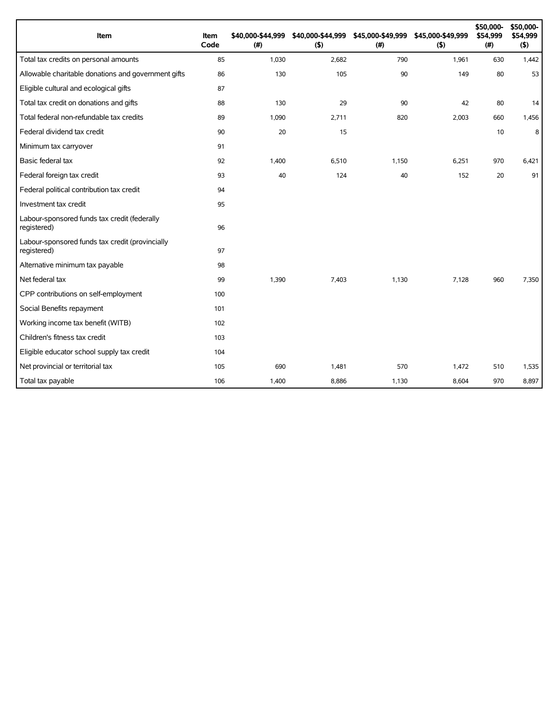| Item                                                           | Item<br>Code | \$40,000-\$44,999<br>(# ) | \$40,000-\$44,999<br>(5) | \$45,000-\$49,999<br>(#) | \$45,000-\$49,999<br>(5) | \$50,000-<br>\$54,999<br>(#) | \$50,000-<br>\$54,999<br>(5) |
|----------------------------------------------------------------|--------------|---------------------------|--------------------------|--------------------------|--------------------------|------------------------------|------------------------------|
| Total tax credits on personal amounts                          | 85           | 1,030                     | 2,682                    | 790                      | 1,961                    | 630                          | 1,442                        |
| Allowable charitable donations and government gifts            | 86           | 130                       | 105                      | 90                       | 149                      | 80                           | 53                           |
| Eligible cultural and ecological gifts                         | 87           |                           |                          |                          |                          |                              |                              |
| Total tax credit on donations and gifts                        | 88           | 130                       | 29                       | 90                       | 42                       | 80                           | 14                           |
| Total federal non-refundable tax credits                       | 89           | 1,090                     | 2,711                    | 820                      | 2,003                    | 660                          | 1,456                        |
| Federal dividend tax credit                                    | 90           | 20                        | 15                       |                          |                          | 10                           | 8                            |
| Minimum tax carryover                                          | 91           |                           |                          |                          |                          |                              |                              |
| Basic federal tax                                              | 92           | 1,400                     | 6,510                    | 1,150                    | 6,251                    | 970                          | 6,421                        |
| Federal foreign tax credit                                     | 93           | 40                        | 124                      | 40                       | 152                      | 20                           | 91                           |
| Federal political contribution tax credit                      | 94           |                           |                          |                          |                          |                              |                              |
| Investment tax credit                                          | 95           |                           |                          |                          |                          |                              |                              |
| Labour-sponsored funds tax credit (federally<br>registered)    | 96           |                           |                          |                          |                          |                              |                              |
| Labour-sponsored funds tax credit (provincially<br>registered) | 97           |                           |                          |                          |                          |                              |                              |
| Alternative minimum tax payable                                | 98           |                           |                          |                          |                          |                              |                              |
| Net federal tax                                                | 99           | 1,390                     | 7,403                    | 1,130                    | 7,128                    | 960                          | 7,350                        |
| CPP contributions on self-employment                           | 100          |                           |                          |                          |                          |                              |                              |
| Social Benefits repayment                                      | 101          |                           |                          |                          |                          |                              |                              |
| Working income tax benefit (WITB)                              | 102          |                           |                          |                          |                          |                              |                              |
| Children's fitness tax credit                                  | 103          |                           |                          |                          |                          |                              |                              |
| Eligible educator school supply tax credit                     | 104          |                           |                          |                          |                          |                              |                              |
| Net provincial or territorial tax                              | 105          | 690                       | 1,481                    | 570                      | 1,472                    | 510                          | 1,535                        |
| Total tax payable                                              | 106          | 1,400                     | 8,886                    | 1,130                    | 8,604                    | 970                          | 8,897                        |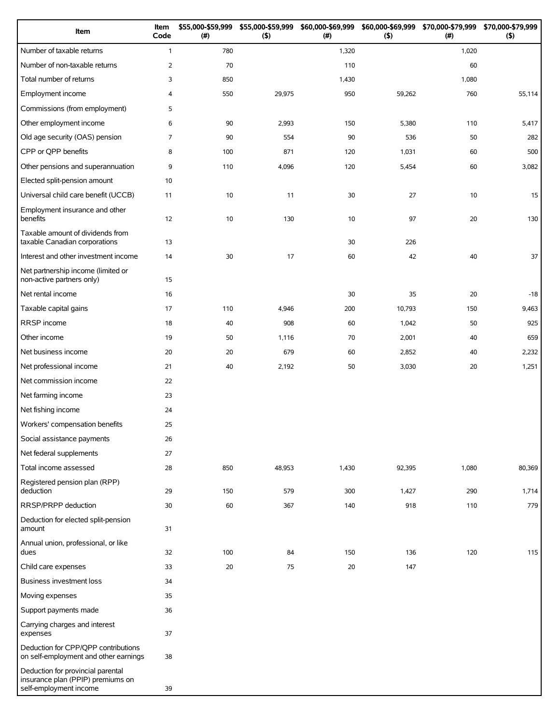| Item                                                                                             | Item<br>Code   | \$55,000-\$59,999<br>(#) | \$55,000-\$59,999<br>(5) | \$60,000-\$69,999<br>(# ) | (5)    | \$60,000-\$69,999 \$70,000-\$79,999<br>(# ) | \$70,000-\$79,999<br>$($ \$) |
|--------------------------------------------------------------------------------------------------|----------------|--------------------------|--------------------------|---------------------------|--------|---------------------------------------------|------------------------------|
| Number of taxable returns                                                                        | $\mathbf{1}$   | 780                      |                          | 1,320                     |        | 1,020                                       |                              |
| Number of non-taxable returns                                                                    | $\overline{2}$ | 70                       |                          | 110                       |        | 60                                          |                              |
| Total number of returns                                                                          | 3              | 850                      |                          | 1,430                     |        | 1,080                                       |                              |
| Employment income                                                                                | 4              | 550                      | 29,975                   | 950                       | 59,262 | 760                                         | 55,114                       |
| Commissions (from employment)                                                                    | 5              |                          |                          |                           |        |                                             |                              |
| Other employment income                                                                          | 6              | 90                       | 2,993                    | 150                       | 5,380  | 110                                         | 5,417                        |
| Old age security (OAS) pension                                                                   | $\overline{7}$ | 90                       | 554                      | 90                        | 536    | 50                                          | 282                          |
| CPP or QPP benefits                                                                              | 8              | 100                      | 871                      | 120                       | 1,031  | 60                                          | 500                          |
| Other pensions and superannuation                                                                | 9              | 110                      | 4,096                    | 120                       | 5,454  | 60                                          | 3,082                        |
| Elected split-pension amount                                                                     | 10             |                          |                          |                           |        |                                             |                              |
| Universal child care benefit (UCCB)                                                              | 11             | 10                       | 11                       | 30                        | 27     | 10                                          | 15                           |
| Employment insurance and other<br>benefits                                                       | 12             | 10                       | 130                      | 10                        | 97     | 20                                          | 130                          |
| Taxable amount of dividends from<br>taxable Canadian corporations                                | 13             |                          |                          | 30                        | 226    |                                             |                              |
| Interest and other investment income                                                             | 14             | 30                       | 17                       | 60                        | 42     | 40                                          | 37                           |
| Net partnership income (limited or<br>non-active partners only)                                  | 15             |                          |                          |                           |        |                                             |                              |
| Net rental income                                                                                | 16             |                          |                          | 30                        | 35     | 20                                          | $-18$                        |
| Taxable capital gains                                                                            | 17             | 110                      | 4,946                    | 200                       | 10,793 | 150                                         | 9,463                        |
| RRSP income                                                                                      | 18             | 40                       | 908                      | 60                        | 1,042  | 50                                          | 925                          |
| Other income                                                                                     | 19             | 50                       | 1,116                    | 70                        | 2,001  | 40                                          | 659                          |
| Net business income                                                                              | 20             | 20                       | 679                      | 60                        | 2,852  | 40                                          | 2,232                        |
| Net professional income                                                                          | 21             | 40                       | 2,192                    | 50                        | 3,030  | 20                                          | 1,251                        |
| Net commission income                                                                            | 22             |                          |                          |                           |        |                                             |                              |
| Net farming income                                                                               | 23             |                          |                          |                           |        |                                             |                              |
| Net fishing income                                                                               | 24             |                          |                          |                           |        |                                             |                              |
| Workers' compensation benefits                                                                   | 25             |                          |                          |                           |        |                                             |                              |
| Social assistance payments                                                                       | 26             |                          |                          |                           |        |                                             |                              |
| Net federal supplements                                                                          | 27             |                          |                          |                           |        |                                             |                              |
| Total income assessed                                                                            | 28             | 850                      | 48,953                   | 1,430                     | 92,395 | 1,080                                       | 80,369                       |
| Registered pension plan (RPP)<br>deduction                                                       | 29             | 150                      | 579                      | 300                       | 1,427  | 290                                         | 1,714                        |
| RRSP/PRPP deduction                                                                              | 30             | 60                       | 367                      | 140                       | 918    | 110                                         | 779                          |
| Deduction for elected split-pension<br>amount                                                    | 31             |                          |                          |                           |        |                                             |                              |
| Annual union, professional, or like<br>dues                                                      | 32             | 100                      | 84                       | 150                       | 136    | 120                                         | 115                          |
| Child care expenses                                                                              | 33             | 20                       | 75                       | 20                        | 147    |                                             |                              |
| Business investment loss                                                                         | 34             |                          |                          |                           |        |                                             |                              |
| Moving expenses                                                                                  | 35             |                          |                          |                           |        |                                             |                              |
| Support payments made                                                                            | 36             |                          |                          |                           |        |                                             |                              |
| Carrying charges and interest<br>expenses                                                        | 37             |                          |                          |                           |        |                                             |                              |
| Deduction for CPP/QPP contributions<br>on self-employment and other earnings                     | 38             |                          |                          |                           |        |                                             |                              |
| Deduction for provincial parental<br>insurance plan (PPIP) premiums on<br>self-employment income | 39             |                          |                          |                           |        |                                             |                              |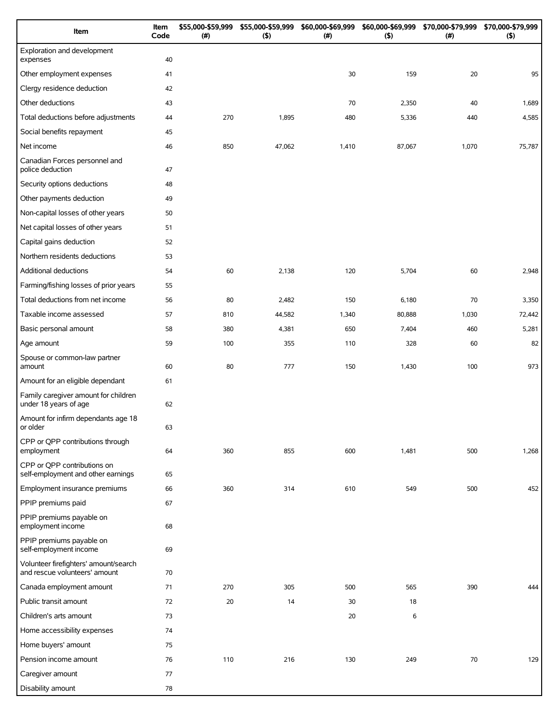| Item                                                                   | Item<br>Code | \$55,000-\$59,999<br>(#) | \$55,000-\$59,999<br>(5) | \$60,000-\$69,999<br>(#) | \$60,000-\$69,999<br>(5) | \$70,000-\$79,999<br>$(\#)$ | \$70,000-\$79,999<br>(5) |
|------------------------------------------------------------------------|--------------|--------------------------|--------------------------|--------------------------|--------------------------|-----------------------------|--------------------------|
| Exploration and development<br>expenses                                | 40           |                          |                          |                          |                          |                             |                          |
| Other employment expenses                                              | 41           |                          |                          | 30                       | 159                      | 20                          | 95                       |
| Clergy residence deduction                                             | 42           |                          |                          |                          |                          |                             |                          |
| Other deductions                                                       | 43           |                          |                          | 70                       | 2,350                    | 40                          | 1,689                    |
| Total deductions before adjustments                                    | 44           | 270                      | 1,895                    | 480                      | 5,336                    | 440                         | 4,585                    |
| Social benefits repayment                                              | 45           |                          |                          |                          |                          |                             |                          |
| Net income                                                             | 46           | 850                      | 47,062                   | 1,410                    | 87,067                   | 1,070                       | 75,787                   |
| Canadian Forces personnel and<br>police deduction                      | 47           |                          |                          |                          |                          |                             |                          |
| Security options deductions                                            | 48           |                          |                          |                          |                          |                             |                          |
| Other payments deduction                                               | 49           |                          |                          |                          |                          |                             |                          |
| Non-capital losses of other years                                      | 50           |                          |                          |                          |                          |                             |                          |
| Net capital losses of other years                                      | 51           |                          |                          |                          |                          |                             |                          |
| Capital gains deduction                                                | 52           |                          |                          |                          |                          |                             |                          |
| Northern residents deductions                                          | 53           |                          |                          |                          |                          |                             |                          |
| Additional deductions                                                  | 54           | 60                       | 2,138                    | 120                      | 5,704                    | 60                          | 2,948                    |
| Farming/fishing losses of prior years                                  | 55           |                          |                          |                          |                          |                             |                          |
| Total deductions from net income                                       | 56           | 80                       | 2,482                    | 150                      | 6,180                    | 70                          | 3,350                    |
| Taxable income assessed                                                | 57           | 810                      | 44,582                   | 1,340                    | 80,888                   | 1,030                       | 72,442                   |
| Basic personal amount                                                  | 58           | 380                      | 4,381                    | 650                      | 7,404                    | 460                         | 5,281                    |
| Age amount                                                             | 59           | 100                      | 355                      | 110                      | 328                      | 60                          | 82                       |
| Spouse or common-law partner<br>amount                                 | 60           | 80                       | 777                      | 150                      | 1,430                    | 100                         | 973                      |
| Amount for an eligible dependant                                       | 61           |                          |                          |                          |                          |                             |                          |
| Family caregiver amount for children<br>under 18 years of age          | 62           |                          |                          |                          |                          |                             |                          |
| Amount for infirm dependants age 18<br>or older                        | 63           |                          |                          |                          |                          |                             |                          |
| CPP or QPP contributions through<br>employment                         | 64           | 360                      | 855                      | 600                      | 1,481                    | 500                         | 1,268                    |
| CPP or QPP contributions on<br>self-employment and other earnings      | 65           |                          |                          |                          |                          |                             |                          |
| Employment insurance premiums                                          | 66           | 360                      | 314                      | 610                      | 549                      | 500                         | 452                      |
| PPIP premiums paid                                                     | 67           |                          |                          |                          |                          |                             |                          |
| PPIP premiums payable on<br>employment income                          | 68           |                          |                          |                          |                          |                             |                          |
| PPIP premiums payable on<br>self-employment income                     | 69           |                          |                          |                          |                          |                             |                          |
| Volunteer firefighters' amount/search<br>and rescue volunteers' amount | 70           |                          |                          |                          |                          |                             |                          |
| Canada employment amount                                               | 71           | 270                      | 305                      | 500                      | 565                      | 390                         | 444                      |
| Public transit amount                                                  | 72           | 20                       | 14                       | 30                       | 18                       |                             |                          |
| Children's arts amount                                                 | 73           |                          |                          | 20                       | 6                        |                             |                          |
| Home accessibility expenses                                            | 74           |                          |                          |                          |                          |                             |                          |
| Home buyers' amount                                                    | 75           |                          |                          |                          |                          |                             |                          |
| Pension income amount                                                  | 76           | 110                      | 216                      | 130                      | 249                      | 70                          | 129                      |
| Caregiver amount                                                       | 77           |                          |                          |                          |                          |                             |                          |
| Disability amount                                                      | 78           |                          |                          |                          |                          |                             |                          |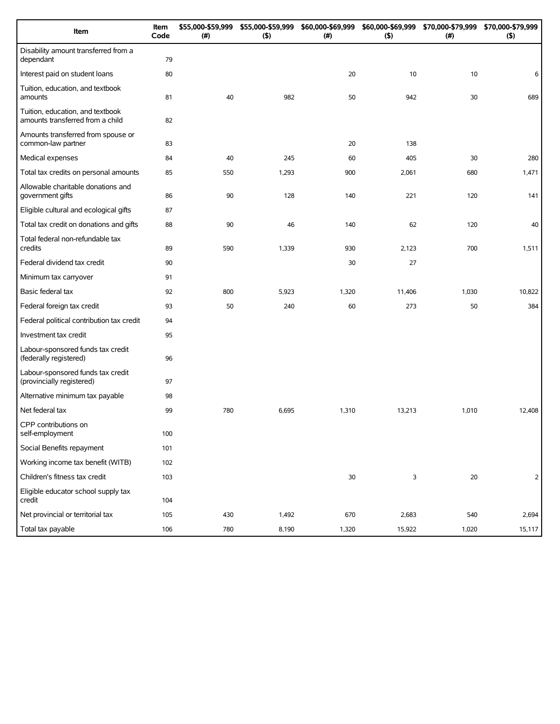| Item                                                                 | Item<br>Code | \$55,000-\$59,999<br>(#) | \$55,000-\$59,999<br>(5) | \$60,000-\$69,999<br>(#) | \$60,000-\$69,999<br>(5) | \$70,000-\$79,999<br>(#) | \$70,000-\$79,999<br>(5) |
|----------------------------------------------------------------------|--------------|--------------------------|--------------------------|--------------------------|--------------------------|--------------------------|--------------------------|
| Disability amount transferred from a<br>dependant                    | 79           |                          |                          |                          |                          |                          |                          |
| Interest paid on student loans                                       | 80           |                          |                          | 20                       | 10                       | 10                       | 6                        |
| Tuition, education, and textbook<br>amounts                          | 81           | 40                       | 982                      | 50                       | 942                      | 30                       | 689                      |
| Tuition, education, and textbook<br>amounts transferred from a child | 82           |                          |                          |                          |                          |                          |                          |
| Amounts transferred from spouse or<br>common-law partner             | 83           |                          |                          | 20                       | 138                      |                          |                          |
| Medical expenses                                                     | 84           | 40                       | 245                      | 60                       | 405                      | 30                       | 280                      |
| Total tax credits on personal amounts                                | 85           | 550                      | 1,293                    | 900                      | 2,061                    | 680                      | 1,471                    |
| Allowable charitable donations and<br>government gifts               | 86           | 90                       | 128                      | 140                      | 221                      | 120                      | 141                      |
| Eligible cultural and ecological gifts                               | 87           |                          |                          |                          |                          |                          |                          |
| Total tax credit on donations and gifts                              | 88           | 90                       | 46                       | 140                      | 62                       | 120                      | 40                       |
| Total federal non-refundable tax<br>credits                          | 89           | 590                      | 1,339                    | 930                      | 2,123                    | 700                      | 1,511                    |
| Federal dividend tax credit                                          | 90           |                          |                          | 30                       | 27                       |                          |                          |
| Minimum tax carryover                                                | 91           |                          |                          |                          |                          |                          |                          |
| Basic federal tax                                                    | 92           | 800                      | 5,923                    | 1,320                    | 11,406                   | 1,030                    | 10,822                   |
| Federal foreign tax credit                                           | 93           | 50                       | 240                      | 60                       | 273                      | 50                       | 384                      |
| Federal political contribution tax credit                            | 94           |                          |                          |                          |                          |                          |                          |
| Investment tax credit                                                | 95           |                          |                          |                          |                          |                          |                          |
| Labour-sponsored funds tax credit<br>(federally registered)          | 96           |                          |                          |                          |                          |                          |                          |
| Labour-sponsored funds tax credit<br>(provincially registered)       | 97           |                          |                          |                          |                          |                          |                          |
| Alternative minimum tax payable                                      | 98           |                          |                          |                          |                          |                          |                          |
| Net federal tax                                                      | 99           | 780                      | 6,695                    | 1,310                    | 13,213                   | 1,010                    | 12,408                   |
| CPP contributions on<br>self-employment                              | 100          |                          |                          |                          |                          |                          |                          |
| Social Benefits repayment                                            | 101          |                          |                          |                          |                          |                          |                          |
| Working income tax benefit (WITB)                                    | 102          |                          |                          |                          |                          |                          |                          |
| Children's fitness tax credit                                        | 103          |                          |                          | 30                       | 3                        | 20                       | $\overline{2}$           |
| Eligible educator school supply tax<br>credit                        | 104          |                          |                          |                          |                          |                          |                          |
| Net provincial or territorial tax                                    | 105          | 430                      | 1,492                    | 670                      | 2,683                    | 540                      | 2,694                    |
| Total tax payable                                                    | 106          | 780                      | 8,190                    | 1,320                    | 15,922                   | 1,020                    | 15,117                   |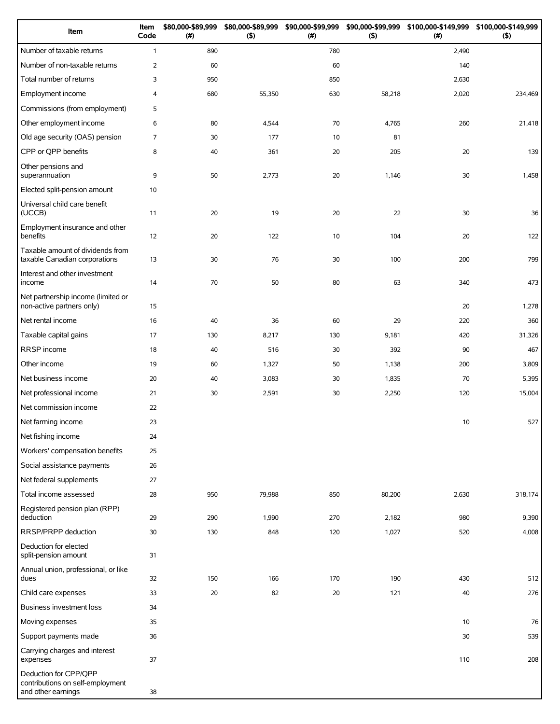| Item                                                                            | Item<br>Code   | \$80,000-\$89,999<br>(#) | \$80,000-\$89,999<br>(5) | \$90,000-\$99,999<br>(# ) | (5)    | \$90,000-\$99,999 \$100,000-\$149,999 \$100,000-\$149,999<br>(#) | $($ \$) |
|---------------------------------------------------------------------------------|----------------|--------------------------|--------------------------|---------------------------|--------|------------------------------------------------------------------|---------|
| Number of taxable returns                                                       | $\mathbf{1}$   | 890                      |                          | 780                       |        | 2,490                                                            |         |
| Number of non-taxable returns                                                   | $\overline{2}$ | 60                       |                          | 60                        |        | 140                                                              |         |
| Total number of returns                                                         | 3              | 950                      |                          | 850                       |        | 2,630                                                            |         |
| Employment income                                                               | 4              | 680                      | 55,350                   | 630                       | 58,218 | 2,020                                                            | 234,469 |
| Commissions (from employment)                                                   | 5              |                          |                          |                           |        |                                                                  |         |
| Other employment income                                                         | 6              | 80                       | 4,544                    | 70                        | 4,765  | 260                                                              | 21,418  |
| Old age security (OAS) pension                                                  | 7              | 30                       | 177                      | 10                        | 81     |                                                                  |         |
| CPP or QPP benefits                                                             | 8              | 40                       | 361                      | 20                        | 205    | 20                                                               | 139     |
| Other pensions and<br>superannuation                                            | 9              | 50                       | 2,773                    | 20                        | 1,146  | 30                                                               | 1,458   |
| Elected split-pension amount                                                    | 10             |                          |                          |                           |        |                                                                  |         |
| Universal child care benefit<br>(UCCB)                                          | 11             | 20                       | 19                       | 20                        | 22     | 30                                                               | 36      |
| Employment insurance and other<br>benefits                                      | 12             | 20                       | 122                      | 10                        | 104    | 20                                                               | 122     |
| Taxable amount of dividends from<br>taxable Canadian corporations               | 13             | 30                       | 76                       | 30                        | 100    | 200                                                              | 799     |
| Interest and other investment<br>income                                         | 14             | 70                       | 50                       | 80                        | 63     | 340                                                              | 473     |
| Net partnership income (limited or<br>non-active partners only)                 | 15             |                          |                          |                           |        | 20                                                               | 1,278   |
| Net rental income                                                               | 16             | 40                       | 36                       | 60                        | 29     | 220                                                              | 360     |
| Taxable capital gains                                                           | 17             | 130                      | 8,217                    | 130                       | 9,181  | 420                                                              | 31,326  |
| RRSP income                                                                     | 18             | 40                       | 516                      | 30                        | 392    | 90                                                               | 467     |
| Other income                                                                    | 19             | 60                       | 1,327                    | 50                        | 1,138  | 200                                                              | 3,809   |
| Net business income                                                             | 20             | 40                       | 3,083                    | 30                        | 1,835  | 70                                                               | 5,395   |
| Net professional income                                                         | 21             | 30                       | 2,591                    | 30                        | 2,250  | 120                                                              | 15,004  |
| Net commission income                                                           | 22             |                          |                          |                           |        |                                                                  |         |
| Net farming income                                                              | 23             |                          |                          |                           |        | 10                                                               | 527     |
| Net fishing income                                                              | 24             |                          |                          |                           |        |                                                                  |         |
| Workers' compensation benefits                                                  | 25             |                          |                          |                           |        |                                                                  |         |
| Social assistance payments                                                      | 26             |                          |                          |                           |        |                                                                  |         |
| Net federal supplements                                                         | 27             |                          |                          |                           |        |                                                                  |         |
| Total income assessed                                                           | 28             | 950                      | 79,988                   | 850                       | 80,200 | 2,630                                                            | 318,174 |
| Registered pension plan (RPP)<br>deduction                                      | 29             | 290                      | 1,990                    | 270                       | 2,182  | 980                                                              | 9,390   |
| RRSP/PRPP deduction                                                             | 30             | 130                      | 848                      | 120                       | 1,027  | 520                                                              | 4,008   |
| Deduction for elected<br>split-pension amount                                   | 31             |                          |                          |                           |        |                                                                  |         |
| Annual union, professional, or like<br>dues                                     | 32             | 150                      | 166                      | 170                       | 190    | 430                                                              | 512     |
| Child care expenses                                                             | 33             | 20                       | 82                       | 20                        | 121    | 40                                                               | 276     |
| <b>Business investment loss</b>                                                 | 34             |                          |                          |                           |        |                                                                  |         |
| Moving expenses                                                                 | 35             |                          |                          |                           |        | 10                                                               | 76      |
| Support payments made                                                           | 36             |                          |                          |                           |        | 30                                                               | 539     |
| Carrying charges and interest<br>expenses                                       | 37             |                          |                          |                           |        | 110                                                              | 208     |
| Deduction for CPP/QPP<br>contributions on self-employment<br>and other earnings | 38             |                          |                          |                           |        |                                                                  |         |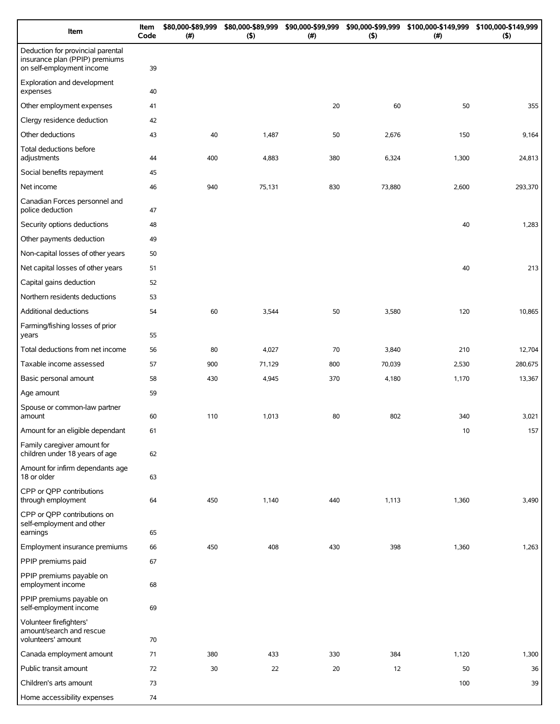| Item                                                                                             | Item<br>Code | \$80,000-\$89,999<br>(# ) | \$80,000-\$89,999<br>(5) | \$90,000-\$99,999<br>(# ) | \$90,000-\$99,999<br>(5) | \$100,000-\$149,999 \$100,000-\$149,999<br>(# ) | $($ \$) |
|--------------------------------------------------------------------------------------------------|--------------|---------------------------|--------------------------|---------------------------|--------------------------|-------------------------------------------------|---------|
| Deduction for provincial parental<br>insurance plan (PPIP) premiums<br>on self-employment income | 39           |                           |                          |                           |                          |                                                 |         |
| Exploration and development<br>expenses                                                          | 40           |                           |                          |                           |                          |                                                 |         |
| Other employment expenses                                                                        | 41           |                           |                          | 20                        | 60                       | 50                                              | 355     |
| Clergy residence deduction                                                                       | 42           |                           |                          |                           |                          |                                                 |         |
| Other deductions                                                                                 | 43           | 40                        | 1,487                    | 50                        | 2,676                    | 150                                             | 9,164   |
| Total deductions before<br>adjustments                                                           | 44           | 400                       | 4,883                    | 380                       | 6,324                    | 1,300                                           | 24,813  |
| Social benefits repayment                                                                        | 45           |                           |                          |                           |                          |                                                 |         |
| Net income                                                                                       | 46           | 940                       | 75,131                   | 830                       | 73,880                   | 2,600                                           | 293,370 |
| Canadian Forces personnel and<br>police deduction                                                | 47           |                           |                          |                           |                          |                                                 |         |
| Security options deductions                                                                      | 48           |                           |                          |                           |                          | 40                                              | 1,283   |
| Other payments deduction                                                                         | 49           |                           |                          |                           |                          |                                                 |         |
| Non-capital losses of other years                                                                | 50           |                           |                          |                           |                          |                                                 |         |
| Net capital losses of other years                                                                | 51           |                           |                          |                           |                          | 40                                              | 213     |
| Capital gains deduction                                                                          | 52           |                           |                          |                           |                          |                                                 |         |
| Northern residents deductions                                                                    | 53           |                           |                          |                           |                          |                                                 |         |
| Additional deductions                                                                            | 54           | 60                        | 3,544                    | 50                        | 3,580                    | 120                                             | 10,865  |
| Farming/fishing losses of prior<br>years                                                         | 55           |                           |                          |                           |                          |                                                 |         |
| Total deductions from net income                                                                 | 56           | 80                        | 4,027                    | 70                        | 3,840                    | 210                                             | 12,704  |
| Taxable income assessed                                                                          | 57           | 900                       | 71,129                   | 800                       | 70,039                   | 2,530                                           | 280,675 |
| Basic personal amount                                                                            | 58           | 430                       | 4,945                    | 370                       | 4,180                    | 1,170                                           | 13,367  |
| Age amount                                                                                       | 59           |                           |                          |                           |                          |                                                 |         |
| Spouse or common-law partner<br>amount                                                           | 60           | 110                       | 1,013                    | 80                        | 802                      | 340                                             | 3,021   |
| Amount for an eligible dependant                                                                 | 61           |                           |                          |                           |                          | 10                                              | 157     |
| Family caregiver amount for<br>children under 18 years of age                                    | 62           |                           |                          |                           |                          |                                                 |         |
| Amount for infirm dependants age<br>18 or older                                                  | 63           |                           |                          |                           |                          |                                                 |         |
| CPP or QPP contributions<br>through employment                                                   | 64           | 450                       | 1,140                    | 440                       | 1,113                    | 1,360                                           | 3,490   |
| CPP or QPP contributions on<br>self-employment and other<br>earnings                             | 65           |                           |                          |                           |                          |                                                 |         |
| Employment insurance premiums                                                                    | 66           | 450                       | 408                      | 430                       | 398                      | 1,360                                           | 1,263   |
| PPIP premiums paid                                                                               | 67           |                           |                          |                           |                          |                                                 |         |
| PPIP premiums payable on<br>employment income                                                    | 68           |                           |                          |                           |                          |                                                 |         |
| PPIP premiums payable on<br>self-employment income                                               | 69           |                           |                          |                           |                          |                                                 |         |
| Volunteer firefighters'<br>amount/search and rescue<br>volunteers' amount                        | 70           |                           |                          |                           |                          |                                                 |         |
| Canada employment amount                                                                         | 71           | 380                       | 433                      | 330                       | 384                      | 1,120                                           | 1,300   |
| Public transit amount                                                                            | 72           | 30                        | 22                       | 20                        | 12                       | 50                                              | 36      |
| Children's arts amount                                                                           | 73           |                           |                          |                           |                          | 100                                             | 39      |
| Home accessibility expenses                                                                      | 74           |                           |                          |                           |                          |                                                 |         |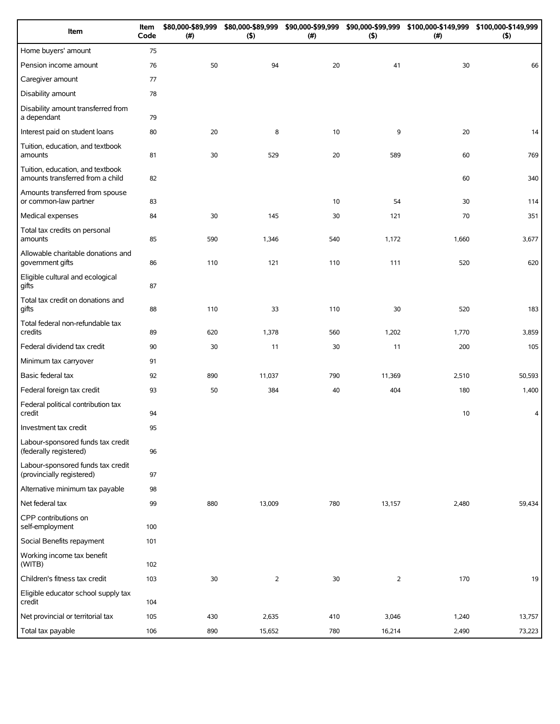| Item                                                                 | Item<br>Code | \$80,000-\$89,999<br>(#) | \$80,000-\$89,999<br>(5) | \$90,000-\$99,999<br>(# ) | \$90,000-\$99,999<br>(5) | \$100,000-\$149,999 \$100,000-\$149,999<br>(# ) | $($ \$) |
|----------------------------------------------------------------------|--------------|--------------------------|--------------------------|---------------------------|--------------------------|-------------------------------------------------|---------|
| Home buyers' amount                                                  | 75           |                          |                          |                           |                          |                                                 |         |
| Pension income amount                                                | 76           | 50                       | 94                       | 20                        | 41                       | 30                                              | 66      |
| Caregiver amount                                                     | 77           |                          |                          |                           |                          |                                                 |         |
| Disability amount                                                    | 78           |                          |                          |                           |                          |                                                 |         |
| Disability amount transferred from<br>a dependant                    | 79           |                          |                          |                           |                          |                                                 |         |
| Interest paid on student loans                                       | 80           | 20                       | 8                        | 10                        | 9                        | 20                                              | 14      |
| Tuition, education, and textbook<br>amounts                          | 81           | 30                       | 529                      | 20                        | 589                      | 60                                              | 769     |
| Tuition, education, and textbook<br>amounts transferred from a child | 82           |                          |                          |                           |                          | 60                                              | 340     |
| Amounts transferred from spouse<br>or common-law partner             | 83           |                          |                          | 10                        | 54                       | 30                                              | 114     |
| Medical expenses                                                     | 84           | 30                       | 145                      | 30                        | 121                      | 70                                              | 351     |
| Total tax credits on personal<br>amounts                             | 85           | 590                      | 1,346                    | 540                       | 1,172                    | 1,660                                           | 3,677   |
| Allowable charitable donations and<br>government gifts               | 86           | 110                      | 121                      | 110                       | 111                      | 520                                             | 620     |
| Eligible cultural and ecological<br>gifts                            | 87           |                          |                          |                           |                          |                                                 |         |
| Total tax credit on donations and<br>gifts                           | 88           | 110                      | 33                       | 110                       | 30                       | 520                                             | 183     |
| Total federal non-refundable tax<br>credits                          | 89           | 620                      | 1,378                    | 560                       | 1,202                    | 1,770                                           | 3,859   |
| Federal dividend tax credit                                          | 90           | 30                       | 11                       | 30                        | 11                       | 200                                             | 105     |
| Minimum tax carryover                                                | 91           |                          |                          |                           |                          |                                                 |         |
| Basic federal tax                                                    | 92           | 890                      | 11,037                   | 790                       | 11,369                   | 2,510                                           | 50,593  |
| Federal foreign tax credit                                           | 93           | 50                       | 384                      | 40                        | 404                      | 180                                             | 1,400   |
| Federal political contribution tax<br>credit                         | 94           |                          |                          |                           |                          | 10                                              | 4       |
| Investment tax credit                                                | 95           |                          |                          |                           |                          |                                                 |         |
| Labour-sponsored funds tax credit<br>(federally registered)          | 96           |                          |                          |                           |                          |                                                 |         |
| Labour-sponsored funds tax credit<br>(provincially registered)       | 97           |                          |                          |                           |                          |                                                 |         |
| Alternative minimum tax payable                                      | 98           |                          |                          |                           |                          |                                                 |         |
| Net federal tax                                                      | 99           | 880                      | 13,009                   | 780                       | 13,157                   | 2,480                                           | 59,434  |
| CPP contributions on<br>self-employment                              | 100          |                          |                          |                           |                          |                                                 |         |
| Social Benefits repayment                                            | 101          |                          |                          |                           |                          |                                                 |         |
| Working income tax benefit<br>(WITB)                                 | 102          |                          |                          |                           |                          |                                                 |         |
| Children's fitness tax credit                                        | 103          | 30                       | $\overline{2}$           | 30                        | $\overline{2}$           | 170                                             | 19      |
| Eligible educator school supply tax<br>credit                        | 104          |                          |                          |                           |                          |                                                 |         |
| Net provincial or territorial tax                                    | 105          | 430                      | 2,635                    | 410                       | 3,046                    | 1,240                                           | 13,757  |
| Total tax payable                                                    | 106          | 890                      | 15,652                   | 780                       | 16,214                   | 2,490                                           | 73,223  |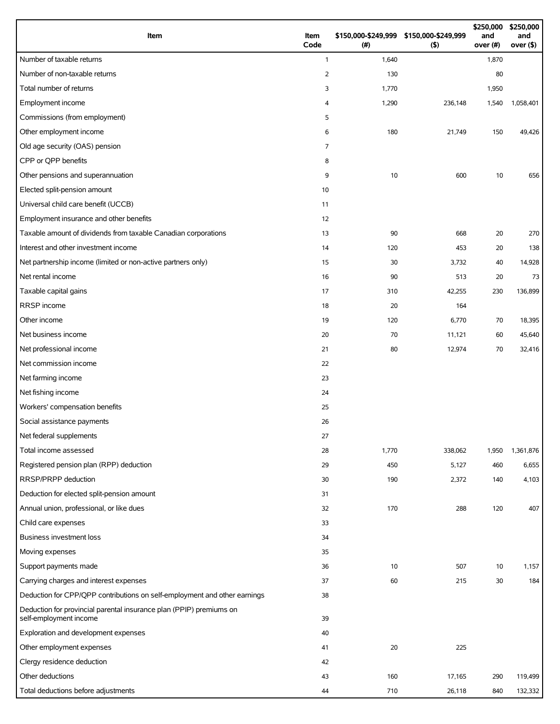| Item                                                                                          | Item<br>Code   | \$150,000-\$249,999 \$150,000-\$249,999<br>(# ) | (5)     | \$250,000<br>and<br>over (#) | \$250,000<br>and<br>over $($ \$) |
|-----------------------------------------------------------------------------------------------|----------------|-------------------------------------------------|---------|------------------------------|----------------------------------|
| Number of taxable returns                                                                     | $\mathbf{1}$   | 1,640                                           |         | 1,870                        |                                  |
| Number of non-taxable returns                                                                 | 2              | 130                                             |         | 80                           |                                  |
| Total number of returns                                                                       | 3              | 1,770                                           |         | 1,950                        |                                  |
| Employment income                                                                             | 4              | 1,290                                           | 236,148 | 1,540                        | 1,058,401                        |
| Commissions (from employment)                                                                 | 5              |                                                 |         |                              |                                  |
| Other employment income                                                                       | 6              | 180                                             | 21,749  | 150                          | 49,426                           |
| Old age security (OAS) pension                                                                | $\overline{7}$ |                                                 |         |                              |                                  |
| CPP or QPP benefits                                                                           | 8              |                                                 |         |                              |                                  |
| Other pensions and superannuation                                                             | 9              | 10                                              | 600     | 10                           | 656                              |
| Elected split-pension amount                                                                  | 10             |                                                 |         |                              |                                  |
| Universal child care benefit (UCCB)                                                           | 11             |                                                 |         |                              |                                  |
| Employment insurance and other benefits                                                       | 12             |                                                 |         |                              |                                  |
| Taxable amount of dividends from taxable Canadian corporations                                | 13             | 90                                              | 668     | 20                           | 270                              |
| Interest and other investment income                                                          | 14             | 120                                             | 453     | 20                           | 138                              |
| Net partnership income (limited or non-active partners only)                                  | 15             | 30                                              | 3,732   | 40                           | 14,928                           |
| Net rental income                                                                             | 16             | 90                                              | 513     | 20                           | 73                               |
| Taxable capital gains                                                                         | 17             | 310                                             | 42,255  | 230                          | 136,899                          |
| RRSP income                                                                                   | 18             | 20                                              | 164     |                              |                                  |
| Other income                                                                                  | 19             | 120                                             | 6,770   | 70                           | 18,395                           |
| Net business income                                                                           | 20             | 70                                              | 11,121  | 60                           | 45,640                           |
| Net professional income                                                                       | 21             | 80                                              | 12,974  | 70                           | 32,416                           |
| Net commission income                                                                         | 22             |                                                 |         |                              |                                  |
| Net farming income                                                                            | 23             |                                                 |         |                              |                                  |
| Net fishing income                                                                            | 24             |                                                 |         |                              |                                  |
| Workers' compensation benefits                                                                | 25             |                                                 |         |                              |                                  |
| Social assistance payments                                                                    | 26             |                                                 |         |                              |                                  |
| Net federal supplements                                                                       | 27             |                                                 |         |                              |                                  |
| Total income assessed                                                                         | 28             | 1,770                                           | 338,062 | 1,950                        | 1,361,876                        |
| Registered pension plan (RPP) deduction                                                       | 29             | 450                                             | 5,127   | 460                          | 6,655                            |
| RRSP/PRPP deduction                                                                           | 30             | 190                                             | 2,372   | 140                          | 4,103                            |
| Deduction for elected split-pension amount                                                    | 31             |                                                 |         |                              |                                  |
| Annual union, professional, or like dues                                                      | 32             | 170                                             | 288     | 120                          | 407                              |
| Child care expenses                                                                           | 33             |                                                 |         |                              |                                  |
| Business investment loss                                                                      | 34             |                                                 |         |                              |                                  |
| Moving expenses                                                                               | 35             |                                                 |         |                              |                                  |
| Support payments made                                                                         | 36             | 10                                              | 507     | 10                           | 1,157                            |
| Carrying charges and interest expenses                                                        | 37             | 60                                              | 215     | 30                           | 184                              |
| Deduction for CPP/QPP contributions on self-employment and other earnings                     | 38             |                                                 |         |                              |                                  |
| Deduction for provincial parental insurance plan (PPIP) premiums on<br>self-employment income | 39             |                                                 |         |                              |                                  |
| Exploration and development expenses                                                          | 40             |                                                 |         |                              |                                  |
| Other employment expenses                                                                     | 41             | 20                                              | 225     |                              |                                  |
| Clergy residence deduction                                                                    | 42             |                                                 |         |                              |                                  |
| Other deductions                                                                              | 43             | 160                                             | 17,165  | 290                          | 119,499                          |
| Total deductions before adjustments                                                           | 44             | 710                                             | 26,118  | 840                          | 132,332                          |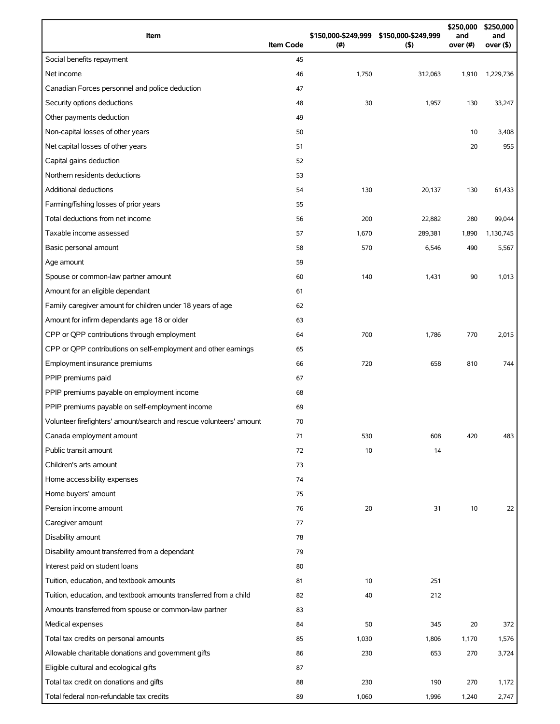| Item                                                                | <b>Item Code</b> | \$150,000-\$249,999<br>(#) | \$150,000-\$249,999<br>(5) | \$250,000<br>and<br>over (#) | \$250,000<br>and<br>over (\$) |
|---------------------------------------------------------------------|------------------|----------------------------|----------------------------|------------------------------|-------------------------------|
| Social benefits repayment                                           | 45               |                            |                            |                              |                               |
| Net income                                                          | 46               | 1,750                      | 312,063                    | 1,910                        | 1,229,736                     |
| Canadian Forces personnel and police deduction                      | 47               |                            |                            |                              |                               |
| Security options deductions                                         | 48               | 30                         | 1,957                      | 130                          | 33,247                        |
| Other payments deduction                                            | 49               |                            |                            |                              |                               |
| Non-capital losses of other years                                   | 50               |                            |                            | 10                           | 3,408                         |
| Net capital losses of other years                                   | 51               |                            |                            | 20                           | 955                           |
| Capital gains deduction                                             | 52               |                            |                            |                              |                               |
| Northern residents deductions                                       | 53               |                            |                            |                              |                               |
| <b>Additional deductions</b>                                        | 54               | 130                        | 20,137                     | 130                          | 61,433                        |
| Farming/fishing losses of prior years                               | 55               |                            |                            |                              |                               |
| Total deductions from net income                                    | 56               | 200                        | 22,882                     | 280                          | 99,044                        |
| Taxable income assessed                                             | 57               | 1,670                      | 289,381                    | 1,890                        | 1,130,745                     |
| Basic personal amount                                               | 58               | 570                        | 6,546                      | 490                          | 5,567                         |
| Age amount                                                          | 59               |                            |                            |                              |                               |
| Spouse or common-law partner amount                                 | 60               | 140                        | 1,431                      | 90                           | 1,013                         |
| Amount for an eligible dependant                                    | 61               |                            |                            |                              |                               |
| Family caregiver amount for children under 18 years of age          | 62               |                            |                            |                              |                               |
| Amount for infirm dependants age 18 or older                        | 63               |                            |                            |                              |                               |
| CPP or QPP contributions through employment                         | 64               | 700                        | 1,786                      | 770                          | 2,015                         |
| CPP or QPP contributions on self-employment and other earnings      | 65               |                            |                            |                              |                               |
| Employment insurance premiums                                       | 66               | 720                        | 658                        | 810                          | 744                           |
| PPIP premiums paid                                                  | 67               |                            |                            |                              |                               |
| PPIP premiums payable on employment income                          | 68               |                            |                            |                              |                               |
| PPIP premiums payable on self-employment income                     | 69               |                            |                            |                              |                               |
| Volunteer firefighters' amount/search and rescue volunteers' amount | 70               |                            |                            |                              |                               |
| Canada employment amount                                            | 71               | 530                        | 608                        | 420                          | 483                           |
| Public transit amount                                               | 72               | 10                         | 14                         |                              |                               |
| Children's arts amount                                              | 73               |                            |                            |                              |                               |
| Home accessibility expenses                                         | 74               |                            |                            |                              |                               |
| Home buyers' amount                                                 | 75               |                            |                            |                              |                               |
| Pension income amount                                               | 76               | 20                         | 31                         | 10                           | 22                            |
| Caregiver amount                                                    | 77               |                            |                            |                              |                               |
| Disability amount                                                   | 78               |                            |                            |                              |                               |
| Disability amount transferred from a dependant                      | 79               |                            |                            |                              |                               |
| Interest paid on student loans                                      | 80               |                            |                            |                              |                               |
| Tuition, education, and textbook amounts                            | 81               | 10                         | 251                        |                              |                               |
| Tuition, education, and textbook amounts transferred from a child   | 82               | 40                         | 212                        |                              |                               |
| Amounts transferred from spouse or common-law partner               | 83               |                            |                            |                              |                               |
| Medical expenses                                                    | 84               | 50                         | 345                        | 20                           | 372                           |
| Total tax credits on personal amounts                               | 85               | 1,030                      | 1,806                      | 1,170                        | 1,576                         |
| Allowable charitable donations and government gifts                 | 86               | 230                        | 653                        | 270                          | 3,724                         |
| Eligible cultural and ecological gifts                              | 87               |                            |                            |                              |                               |
| Total tax credit on donations and gifts                             | 88               | 230                        | 190                        | 270                          | 1,172                         |
| Total federal non-refundable tax credits                            | 89               | 1,060                      | 1,996                      | 1,240                        | 2,747                         |